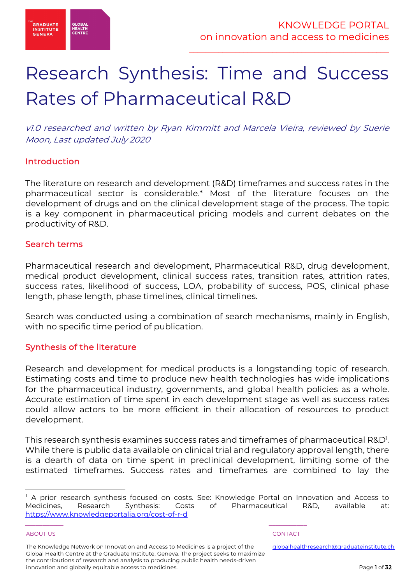

# Research Synthesis: Time and Success Rates of Pharmaceutical R&D

v1.0 researched and written by Ryan Kimmitt and Marcela Vieira, reviewed by Suerie Moon, Last updated July 2020

## Introduction

The literature on research and development (R&D) timeframes and success rates in the pharmaceutical sector is considerable.\* Most of the literature focuses on the development of drugs and on the clinical development stage of the process. The topic is a key component in pharmaceutical pricing models and current debates on the productivity of R&D.

## Search terms

Pharmaceutical research and development, Pharmaceutical R&D, drug development, medical product development, clinical success rates, transition rates, attrition rates, success rates, likelihood of success, LOA, probability of success, POS, clinical phase length, phase length, phase timelines, clinical timelines.

Search was conducted using a combination of search mechanisms, mainly in English, with no specific time period of publication.

## Synthesis of the literature

Research and development for medical products is a longstanding topic of research. Estimating costs and time to produce new health technologies has wide implications for the pharmaceutical industry, governments, and global health policies as a whole. Accurate estimation of time spent in each development stage as well as success rates could allow actors to be more efficient in their allocation of resources to product development.

This research synthesis examines success rates and timeframes of pharmaceutical R&D<sup>1</sup>. While there is public data available on clinical trial and regulatory approval length, there is a dearth of data on time spent in preclinical development, limiting some of the estimated timeframes. Success rates and timeframes are combined to lay the

ABOUT US AND LOCAL CONTACT AND LOCAL CONTACT AND LOCAL CONTACT AND LOCAL CONTACT.

\_\_\_\_\_\_\_\_\_\_\_ \_\_\_\_\_\_\_\_\_\_\_

 $<sup>1</sup>$  A prior research synthesis focused on costs. See: Knowledge Portal on Innovation and Access to</sup> Medicines, Research Synthesis: Costs of Pharmaceutical R&D, available at: https://www.knowledgeportalia.org/cost-of-r-d

The Knowledge Network on Innovation and Access to Medicines is a project of the Global Health Centre at the Graduate Institute, Geneva. The project seeks to maximize the contributions of research and analysis to producing public health needs-driven innovation and globally equitable access to medicines.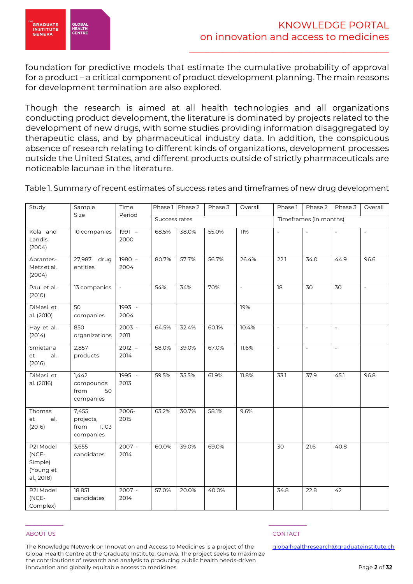

foundation for predictive models that estimate the cumulative probability of approval for a product – a critical component of product development planning. The main reasons for development termination are also explored.

Though the research is aimed at all health technologies and all organizations conducting product development, the literature is dominated by projects related to the development of new drugs, with some studies providing information disaggregated by therapeutic class, and by pharmaceutical industry data. In addition, the conspicuous absence of research relating to different kinds of organizations, development processes outside the United States, and different products outside of strictly pharmaceuticals are noticeable lacunae in the literature.

| Study                                                    | Sample                                           | Time             |               | Phase 1   Phase 2 | Phase 3 | Overall                  | Phase 1                  | Phase 2                  | Phase 3           | Overall                  |
|----------------------------------------------------------|--------------------------------------------------|------------------|---------------|-------------------|---------|--------------------------|--------------------------|--------------------------|-------------------|--------------------------|
|                                                          | Size                                             | Period           | Success rates |                   |         |                          |                          | Timeframes (in months)   |                   |                          |
| Kola and<br>Landis<br>(2004)                             | 10 companies                                     | 1991 -<br>2000   | 68.5%         | 38.0%             | 55.0%   | 11%                      | $\mathbb{L}^2$           | $\overline{a}$           | $\overline{a}$    | $\sim$                   |
| Abrantes-<br>Metz et al.<br>(2004)                       | 27,987 drug<br>entities                          | $1980 -$<br>2004 | 80.7%         | 57.7%             | 56.7%   | 26.4%                    | 22.1                     | 34.0                     | 44.9              | 96.6                     |
| Paul et al.<br>(2010)                                    | 13 companies                                     | $\sim$           | 54%           | 34%               | 70%     | $\overline{\phantom{a}}$ | 18                       | 30                       | 30                | $\overline{\phantom{a}}$ |
| DiMasi et<br>al. (2010)                                  | 50<br>companies                                  | $1993 -$<br>2004 |               |                   |         | 19%                      |                          |                          |                   |                          |
| Hay et al.<br>(2014)                                     | 850<br>organizations                             | $2003 -$<br>2011 | 64.5%         | 32.4%             | 60.1%   | 10.4%                    | $\overline{\phantom{a}}$ | $\overline{\phantom{a}}$ | $\qquad \qquad -$ |                          |
| Smietana<br>al.<br>et<br>(2016)                          | 2,857<br>products                                | $2012 -$<br>2014 | 58.0%         | 39.0%             | 67.0%   | 11.6%                    | $\frac{1}{2}$            | $\frac{1}{2}$            | $\frac{1}{2}$     |                          |
| DiMasi et<br>al. (2016)                                  | 1,442<br>compounds<br>from<br>50<br>companies    | 1995 -<br>2013   | 59.5%         | 35.5%             | 61.9%   | 11.8%                    | 33.1                     | 37.9                     | 45.1              | 96.8                     |
| Thomas<br>al.<br>et<br>(2016)                            | 7,455<br>projects,<br>from<br>1,103<br>companies | 2006-<br>2015    | 63.2%         | 30.7%             | 58.1%   | 9.6%                     |                          |                          |                   |                          |
| P2I Model<br>(NCE-<br>Simple)<br>(Young et<br>al., 2018) | 3,655<br>candidates                              | $2007 -$<br>2014 | 60.0%         | 39.0%             | 69.0%   |                          | 30                       | 21.6                     | 40.8              |                          |
| P2I Model<br>(NCE-<br>Complex)                           | 18,851<br>candidates                             | 2007 -<br>2014   | 57.0%         | 20.0%             | 40.0%   |                          | 34.8                     | 22.8                     | 42                |                          |

Table 1. Summary of recent estimates of success rates and timeframes of new drug development

### ABOUT US AND LOCAL CONTACT AND LOCAL CONTACT AND LOCAL CONTACT AND LOCAL CONTACT.

The Knowledge Network on Innovation and Access to Medicines is a project of the Global Health Centre at the Graduate Institute, Geneva. The project seeks to maximize the contributions of research and analysis to producing public health needs-driven innovation and globally equitable access to medicines.

\_\_\_\_\_\_\_\_\_\_\_ \_\_\_\_\_\_\_\_\_\_\_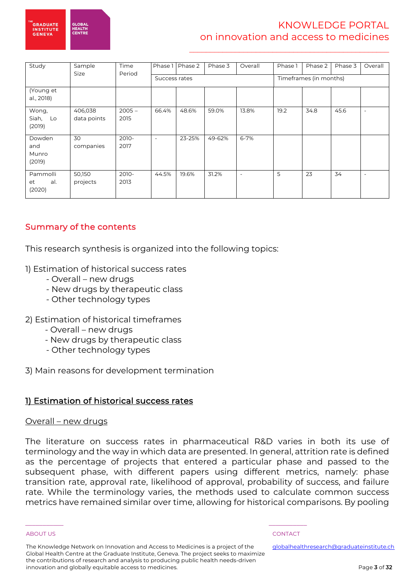

## KNOWLEDGE PORTAL on innovation and access to medicines

\_\_\_\_\_\_\_\_\_\_\_\_\_\_\_\_\_\_\_\_\_\_\_\_\_\_\_\_\_\_\_\_\_\_\_\_\_\_\_\_\_\_\_\_\_\_\_\_

| Study                            | Sample<br>Size         | Time<br>Period   |               | Phase 1 Phase 2 | Phase 3 | Overall                  | Phase 1                | Phase 2 | Phase 3 | Overall                  |
|----------------------------------|------------------------|------------------|---------------|-----------------|---------|--------------------------|------------------------|---------|---------|--------------------------|
|                                  |                        |                  | Success rates |                 |         |                          | Timeframes (in months) |         |         |                          |
| (Young et<br>al., 2018)          |                        |                  |               |                 |         |                          |                        |         |         |                          |
| Wong,<br>Siah,<br>Lo<br>(2019)   | 406,038<br>data points | $2005 -$<br>2015 | 66.4%         | 48.6%           | 59.0%   | 13.8%                    | 19.2                   | 34.8    | 45.6    | $\overline{\phantom{a}}$ |
| Dowden<br>and<br>Munro<br>(2019) | 30<br>companies        | 2010-<br>2017    | $\sim$        | 23-25%          | 49-62%  | $6 - 7%$                 |                        |         |         |                          |
| Pammolli<br>et<br>al.<br>(2020)  | 50,150<br>projects     | 2010-<br>2013    | 44.5%         | 19.6%           | 31.2%   | $\overline{\phantom{a}}$ | 5                      | 23      | 34      | $\overline{\phantom{a}}$ |

## Summary of the contents

This research synthesis is organized into the following topics:

- 1) Estimation of historical success rates
	- Overall new drugs
	- New drugs by therapeutic class
	- Other technology types
- 2) Estimation of historical timeframes
	- Overall new drugs
	- New drugs by therapeutic class
	- Other technology types
- 3) Main reasons for development termination

## 1) Estimation of historical success rates

### Overall – new drugs

The literature on success rates in pharmaceutical R&D varies in both its use of terminology and the way in which data are presented. In general, attrition rate is defined as the percentage of projects that entered a particular phase and passed to the subsequent phase, with different papers using different metrics, namely: phase transition rate, approval rate, likelihood of approval, probability of success, and failure rate. While the terminology varies, the methods used to calculate common success metrics have remained similar over time, allowing for historical comparisons. By pooling

The Knowledge Network on Innovation and Access to Medicines is a project of the Global Health Centre at the Graduate Institute, Geneva. The project seeks to maximize the contributions of research and analysis to producing public health needs-driven innovation and globally equitable access to medicines.

\_\_\_\_\_\_\_\_\_\_\_ \_\_\_\_\_\_\_\_\_\_\_

### ABOUT US AND LOCAL CONTACT AND LOCAL CONTACT AND LOCAL CONTACT AND LOCAL CONTACT.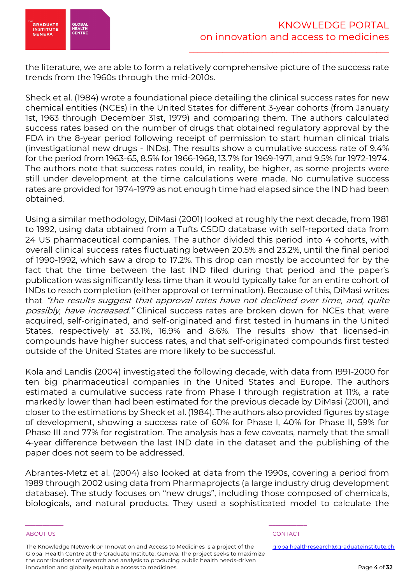

the literature, we are able to form a relatively comprehensive picture of the success rate trends from the 1960s through the mid-2010s.

Sheck et al. (1984) wrote a foundational piece detailing the clinical success rates for new chemical entities (NCEs) in the United States for different 3-year cohorts (from January 1st, 1963 through December 31st, 1979) and comparing them. The authors calculated success rates based on the number of drugs that obtained regulatory approval by the FDA in the 8-year period following receipt of permission to start human clinical trials (investigational new drugs - INDs). The results show a cumulative success rate of 9.4% for the period from 1963-65, 8.5% for 1966-1968, 13.7% for 1969-1971, and 9.5% for 1972-1974. The authors note that success rates could, in reality, be higher, as some projects were still under development at the time calculations were made. No cumulative success rates are provided for 1974-1979 as not enough time had elapsed since the IND had been obtained.

Using a similar methodology, DiMasi (2001) looked at roughly the next decade, from 1981 to 1992, using data obtained from a Tufts CSDD database with self-reported data from 24 US pharmaceutical companies. The author divided this period into 4 cohorts, with overall clinical success rates fluctuating between 20.5% and 23.2%, until the final period of 1990-1992, which saw a drop to 17.2%. This drop can mostly be accounted for by the fact that the time between the last IND filed during that period and the paper's publication was significantly less time than it would typically take for an entire cohort of INDs to reach completion (either approval or termination). Because of this, DiMasi writes that "the results suggest that approval rates have not declined over time, and, quite possibly, have increased." Clinical success rates are broken down for NCEs that were acquired, self-originated, and self-originated and first tested in humans in the United States, respectively at 33.1%, 16.9% and 8.6%. The results show that licensed-in compounds have higher success rates, and that self-originated compounds first tested outside of the United States are more likely to be successful.

Kola and Landis (2004) investigated the following decade, with data from 1991-2000 for ten big pharmaceutical companies in the United States and Europe. The authors estimated a cumulative success rate from Phase I through registration at 11%, a rate markedly lower than had been estimated for the previous decade by DiMasi (2001), and closer to the estimations by Sheck et al. (1984). The authors also provided figures by stage of development, showing a success rate of 60% for Phase I, 40% for Phase II, 59% for Phase III and 77% for registration. The analysis has a few caveats, namely that the small 4-year difference between the last IND date in the dataset and the publishing of the paper does not seem to be addressed.

Abrantes-Metz et al. (2004) also looked at data from the 1990s, covering a period from 1989 through 2002 using data from Pharmaprojects (a large industry drug development database). The study focuses on "new drugs", including those composed of chemicals, biologicals, and natural products. They used a sophisticated model to calculate the

The Knowledge Network on Innovation and Access to Medicines is a project of the Global Health Centre at the Graduate Institute, Geneva. The project seeks to maximize the contributions of research and analysis to producing public health needs-driven innovation and globally equitable access to medicines.

\_\_\_\_\_\_\_\_\_\_\_ \_\_\_\_\_\_\_\_\_\_\_

### ABOUT US AND LOCAL CONTACT AND LOCAL CONTACT AND LOCAL CONTACT AND LOCAL CONTACT.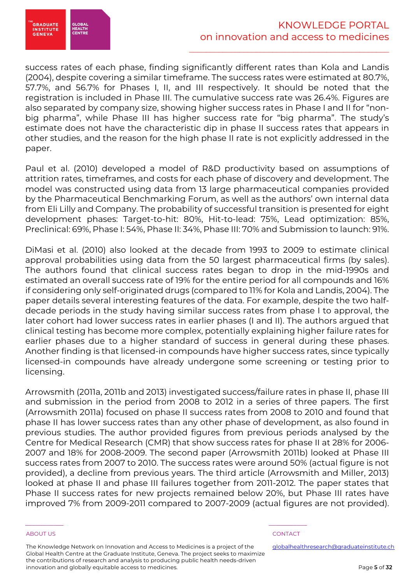

success rates of each phase, finding significantly different rates than Kola and Landis (2004), despite covering a similar timeframe. The success rates were estimated at 80.7%, 57.7%, and 56.7% for Phases I, II, and III respectively. It should be noted that the registration is included in Phase III. The cumulative success rate was 26.4%. Figures are also separated by company size, showing higher success rates in Phase I and II for "nonbig pharma", while Phase III has higher success rate for "big pharma". The study's estimate does not have the characteristic dip in phase II success rates that appears in other studies, and the reason for the high phase II rate is not explicitly addressed in the paper.

Paul et al. (2010) developed a model of R&D productivity based on assumptions of attrition rates, timeframes, and costs for each phase of discovery and development. The model was constructed using data from 13 large pharmaceutical companies provided by the Pharmaceutical Benchmarking Forum, as well as the authors' own internal data from Eli Lilly and Company. The probability of successful transition is presented for eight development phases: Target-to-hit: 80%, Hit-to-lead: 75%, Lead optimization: 85%, Preclinical: 69%, Phase I: 54%, Phase II: 34%, Phase III: 70% and Submission to launch: 91%.

DiMasi et al. (2010) also looked at the decade from 1993 to 2009 to estimate clinical approval probabilities using data from the 50 largest pharmaceutical firms (by sales). The authors found that clinical success rates began to drop in the mid-1990s and estimated an overall success rate of 19% for the entire period for all compounds and 16% if considering only self-originated drugs (compared to 11% for Kola and Landis, 2004). The paper details several interesting features of the data. For example, despite the two halfdecade periods in the study having similar success rates from phase I to approval, the later cohort had lower success rates in earlier phases (I and II). The authors argued that clinical testing has become more complex, potentially explaining higher failure rates for earlier phases due to a higher standard of success in general during these phases. Another finding is that licensed-in compounds have higher success rates, since typically licensed-in compounds have already undergone some screening or testing prior to licensing.

Arrowsmith (2011a, 2011b and 2013) investigated success/failure rates in phase II, phase III and submission in the period from 2008 to 2012 in a series of three papers. The first (Arrowsmith 2011a) focused on phase II success rates from 2008 to 2010 and found that phase II has lower success rates than any other phase of development, as also found in previous studies. The author provided figures from previous periods analysed by the Centre for Medical Research (CMR) that show success rates for phase II at 28% for 2006- 2007 and 18% for 2008-2009. The second paper (Arrowsmith 2011b) looked at Phase III success rates from 2007 to 2010. The success rates were around 50% (actual figure is not provided), a decline from previous years. The third article (Arrowsmith and Miller, 2013) looked at phase II and phase III failures together from 2011-2012. The paper states that Phase II success rates for new projects remained below 20%, but Phase III rates have improved 7% from 2009-2011 compared to 2007-2009 (actual figures are not provided).

The Knowledge Network on Innovation and Access to Medicines is a project of the Global Health Centre at the Graduate Institute, Geneva. The project seeks to maximize the contributions of research and analysis to producing public health needs-driven innovation and globally equitable access to medicines.

\_\_\_\_\_\_\_\_\_\_\_ \_\_\_\_\_\_\_\_\_\_\_

### ABOUT US AND LOCAL CONTACT AND LOCAL CONTACT AND LOCAL CONTACT AND LOCAL CONTACT.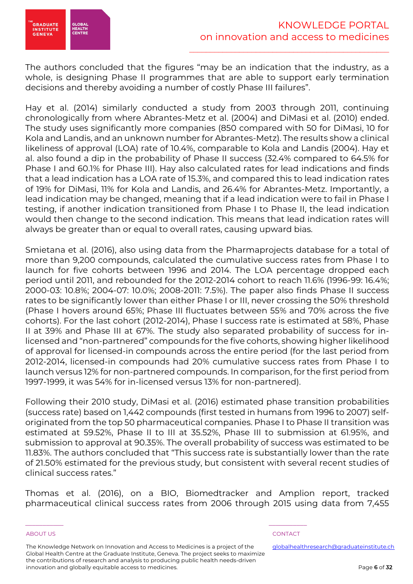

The authors concluded that the figures "may be an indication that the industry, as a whole, is designing Phase II programmes that are able to support early termination decisions and thereby avoiding a number of costly Phase III failures".

Hay et al. (2014) similarly conducted a study from 2003 through 2011, continuing chronologically from where Abrantes-Metz et al. (2004) and DiMasi et al. (2010) ended. The study uses significantly more companies (850 compared with 50 for DiMasi, 10 for Kola and Landis, and an unknown number for Abrantes-Metz). The results show a clinical likeliness of approval (LOA) rate of 10.4%, comparable to Kola and Landis (2004). Hay et al. also found a dip in the probability of Phase II success (32.4% compared to 64.5% for Phase I and 60.1% for Phase III). Hay also calculated rates for lead indications and finds that a lead indication has a LOA rate of 15.3%, and compared this to lead indication rates of 19% for DiMasi, 11% for Kola and Landis, and 26.4% for Abrantes-Metz. Importantly, a lead indication may be changed, meaning that if a lead indication were to fail in Phase I testing, if another indication transitioned from Phase I to Phase II, the lead indication would then change to the second indication. This means that lead indication rates will always be greater than or equal to overall rates, causing upward bias.

Smietana et al. (2016), also using data from the Pharmaprojects database for a total of more than 9,200 compounds, calculated the cumulative success rates from Phase I to launch for five cohorts between 1996 and 2014. The LOA percentage dropped each period until 2011, and rebounded for the 2012-2014 cohort to reach 11.6% (1996-99: 16.4%; 2000-03: 10.8%; 2004-07: 10.0%; 2008-2011: 7.5%). The paper also finds Phase II success rates to be significantly lower than either Phase I or III, never crossing the 50% threshold (Phase I hovers around 65%; Phase III fluctuates between 55% and 70% across the five cohorts). For the last cohort (2012-2014), Phase I success rate is estimated at 58%, Phase II at 39% and Phase III at 67%. The study also separated probability of success for inlicensed and "non-partnered" compounds for the five cohorts, showing higher likelihood of approval for licensed-in compounds across the entire period (for the last period from 2012-2014, licensed-in compounds had 20% cumulative success rates from Phase I to launch versus 12% for non-partnered compounds. In comparison, for the first period from 1997-1999, it was 54% for in-licensed versus 13% for non-partnered).

Following their 2010 study, DiMasi et al. (2016) estimated phase transition probabilities (success rate) based on 1,442 compounds (first tested in humans from 1996 to 2007) selforiginated from the top 50 pharmaceutical companies. Phase I to Phase II transition was estimated at 59.52%, Phase II to III at 35.52%, Phase III to submission at 61.95%, and submission to approval at 90.35%. The overall probability of success was estimated to be 11.83%. The authors concluded that "This success rate is substantially lower than the rate of 21.50% estimated for the previous study, but consistent with several recent studies of clinical success rates."

Thomas et al. (2016), on a BIO, Biomedtracker and Amplion report, tracked pharmaceutical clinical success rates from 2006 through 2015 using data from 7,455

The Knowledge Network on Innovation and Access to Medicines is a project of the Global Health Centre at the Graduate Institute, Geneva. The project seeks to maximize the contributions of research and analysis to producing public health needs-driven innovation and globally equitable access to medicines.

\_\_\_\_\_\_\_\_\_\_\_ \_\_\_\_\_\_\_\_\_\_\_

### ABOUT US AND LOCAL CONTACT AND LOCAL CONTACT AND LOCAL CONTACT AND LOCAL CONTACT.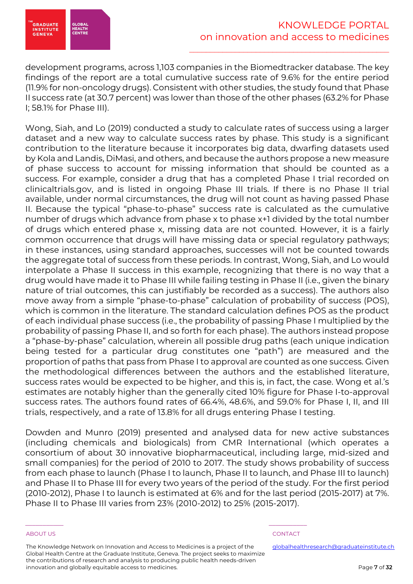

development programs, across 1,103 companies in the Biomedtracker database. The key findings of the report are a total cumulative success rate of 9.6% for the entire period (11.9% for non-oncology drugs). Consistent with other studies, the study found that Phase II success rate (at 30.7 percent) was lower than those of the other phases (63.2% for Phase I; 58.1% for Phase III).

Wong, Siah, and Lo (2019) conducted a study to calculate rates of success using a larger dataset and a new way to calculate success rates by phase. This study is a significant contribution to the literature because it incorporates big data, dwarfing datasets used by Kola and Landis, DiMasi, and others, and because the authors propose a new measure of phase success to account for missing information that should be counted as a success. For example, consider a drug that has a completed Phase I trial recorded on clinicaltrials.gov, and is listed in ongoing Phase III trials. If there is no Phase II trial available, under normal circumstances, the drug will not count as having passed Phase II. Because the typical "phase-to-phase" success rate is calculated as the cumulative number of drugs which advance from phase x to phase x+1 divided by the total number of drugs which entered phase x, missing data are not counted. However, it is a fairly common occurrence that drugs will have missing data or special regulatory pathways; in these instances, using standard approaches, successes will not be counted towards the aggregate total of success from these periods. In contrast, Wong, Siah, and Lo would interpolate a Phase II success in this example, recognizing that there is no way that a drug would have made it to Phase III while failing testing in Phase II (i.e., given the binary nature of trial outcomes, this can justifiably be recorded as a success). The authors also move away from a simple "phase-to-phase" calculation of probability of success (POS), which is common in the literature. The standard calculation defines POS as the product of each individual phase success (i.e., the probability of passing Phase I multiplied by the probability of passing Phase II, and so forth for each phase). The authors instead propose a "phase-by-phase" calculation, wherein all possible drug paths (each unique indication being tested for a particular drug constitutes one "path") are measured and the proportion of paths that pass from Phase I to approval are counted as one success. Given the methodological differences between the authors and the established literature, success rates would be expected to be higher, and this is, in fact, the case. Wong et al.'s estimates are notably higher than the generally cited 10% figure for Phase I-to-approval success rates. The authors found rates of 66.4%, 48.6%, and 59.0% for Phase I, II, and III trials, respectively, and a rate of 13.8% for all drugs entering Phase I testing.

Dowden and Munro (2019) presented and analysed data for new active substances (including chemicals and biologicals) from CMR International (which operates a consortium of about 30 innovative biopharmaceutical, including large, mid-sized and small companies) for the period of 2010 to 2017. The study shows probability of success from each phase to launch (Phase I to launch, Phase II to launch, and Phase III to launch) and Phase II to Phase III for every two years of the period of the study. For the first period (2010-2012), Phase I to launch is estimated at 6% and for the last period (2015-2017) at 7%. Phase II to Phase III varies from 23% (2010-2012) to 25% (2015-2017).

The Knowledge Network on Innovation and Access to Medicines is a project of the Global Health Centre at the Graduate Institute, Geneva. The project seeks to maximize the contributions of research and analysis to producing public health needs-driven innovation and globally equitable access to medicines.

\_\_\_\_\_\_\_\_\_\_\_ \_\_\_\_\_\_\_\_\_\_\_

### ABOUT US AND LOCAL CONTACT AND LOCAL CONTACT AND LOCAL CONTACT AND LOCAL CONTACT.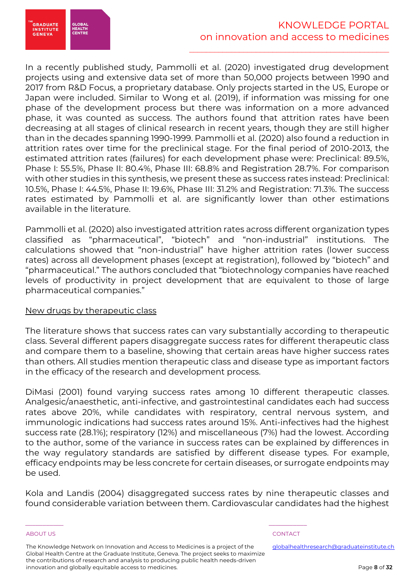

In a recently published study, Pammolli et al. (2020) investigated drug development projects using and extensive data set of more than 50,000 projects between 1990 and 2017 from R&D Focus, a proprietary database. Only projects started in the US, Europe or Japan were included. Similar to Wong et al. (2019), if information was missing for one phase of the development process but there was information on a more advanced phase, it was counted as success. The authors found that attrition rates have been decreasing at all stages of clinical research in recent years, though they are still higher than in the decades spanning 1990-1999. Pammolli et al. (2020) also found a reduction in attrition rates over time for the preclinical stage. For the final period of 2010-2013, the estimated attrition rates (failures) for each development phase were: Preclinical: 89.5%, Phase I: 55.5%, Phase II: 80.4%, Phase III: 68.8% and Registration 28.7%. For comparison with other studies in this synthesis, we present these as success rates instead: Preclinical: 10.5%, Phase I: 44.5%, Phase II: 19.6%, Phase III: 31.2% and Registration: 71.3%. The success rates estimated by Pammolli et al. are significantly lower than other estimations available in the literature.

Pammolli et al. (2020) also investigated attrition rates across different organization types classified as "pharmaceutical", "biotech" and "non-industrial" institutions. The calculations showed that "non-industrial" have higher attrition rates (lower success rates) across all development phases (except at registration), followed by "biotech" and "pharmaceutical." The authors concluded that "biotechnology companies have reached levels of productivity in project development that are equivalent to those of large pharmaceutical companies."

### New drugs by therapeutic class

The literature shows that success rates can vary substantially according to therapeutic class. Several different papers disaggregate success rates for different therapeutic class and compare them to a baseline, showing that certain areas have higher success rates than others. All studies mention therapeutic class and disease type as important factors in the efficacy of the research and development process.

DiMasi (2001) found varying success rates among 10 different therapeutic classes. Analgesic/anaesthetic, anti-infective, and gastrointestinal candidates each had success rates above 20%, while candidates with respiratory, central nervous system, and immunologic indications had success rates around 15%. Anti-infectives had the highest success rate (28.1%); respiratory (12%) and miscellaneous (7%) had the lowest. According to the author, some of the variance in success rates can be explained by differences in the way regulatory standards are satisfied by different disease types. For example, efficacy endpoints may be less concrete for certain diseases, or surrogate endpoints may be used.

Kola and Landis (2004) disaggregated success rates by nine therapeutic classes and found considerable variation between them. Cardiovascular candidates had the highest

The Knowledge Network on Innovation and Access to Medicines is a project of the Global Health Centre at the Graduate Institute, Geneva. The project seeks to maximize the contributions of research and analysis to producing public health needs-driven innovation and globally equitable access to medicines.

\_\_\_\_\_\_\_\_\_\_\_ \_\_\_\_\_\_\_\_\_\_\_

### ABOUT US AND LOCAL CONTACT AND LOCAL CONTACT AND LOCAL CONTACT AND LOCAL CONTACT.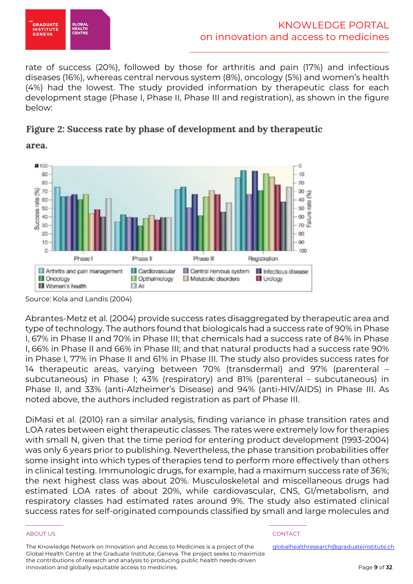

area.

\_\_\_\_\_\_\_\_\_\_\_\_\_\_\_\_\_\_\_\_\_\_\_\_\_\_\_\_\_\_\_\_\_\_\_\_\_\_\_\_\_\_\_\_\_\_\_\_

rate of success (20%), followed by those for arthritis and pain (17%) and infectious diseases (16%), whereas central nervous system (8%), oncology (5%) and women's health (4%) had the lowest. The study provided information by therapeutic class for each development stage (Phase I, Phase II, Phase III and registration), as shown in the figure below:





Source: Kola and Landis (2004)

Abrantes-Metz et al. (2004) provide success rates disaggregated by therapeutic area and type of technology. The authors found that biologicals had a success rate of 90% in Phase I, 67% in Phase II and 70% in Phase III; that chemicals had a success rate of 84% in Phase I, 66% in Phase II and 66% in Phase III; and that natural products had a success rate 90% in Phase I, 77% in Phase II and 61% in Phase III. The study also provides success rates for 14 therapeutic areas, varying between 70% (transdermal) and 97% (parenteral – subcutaneous) in Phase I; 43% (respiratory) and 81% (parenteral – subcutaneous) in Phase II, and 33% (anti-Alzheimer's Disease) and 94% (anti-HIV/AIDS) in Phase III. As noted above, the authors included registration as part of Phase III.

DiMasi et al. (2010) ran a similar analysis, finding variance in phase transition rates and LOA rates between eight therapeutic classes. The rates were extremely low for therapies with small N, given that the time period for entering product development (1993-2004) was only 6 years prior to publishing. Nevertheless, the phase transition probabilities offer some insight into which types of therapies tend to perform more effectively than others in clinical testing. Immunologic drugs, for example, had a maximum success rate of 36%; the next highest class was about 20%. Musculoskeletal and miscellaneous drugs had estimated LOA rates of about 20%, while cardiovascular, CNS, GI/metabolism, and respiratory classes had estimated rates around 9%. The study also estimated clinical success rates for self‐originated compounds classified by small and large molecules and

The Knowledge Network on Innovation and Access to Medicines is a project of the Global Health Centre at the Graduate Institute, Geneva. The project seeks to maximize the contributions of research and analysis to producing public health needs-driven innovation and globally equitable access to medicines.

\_\_\_\_\_\_\_\_\_\_\_ \_\_\_\_\_\_\_\_\_\_\_

### ABOUT US AND LOCAL CONTACT AND LOCAL CONTACT AND LOCAL CONTACT AND LOCAL CONTACT.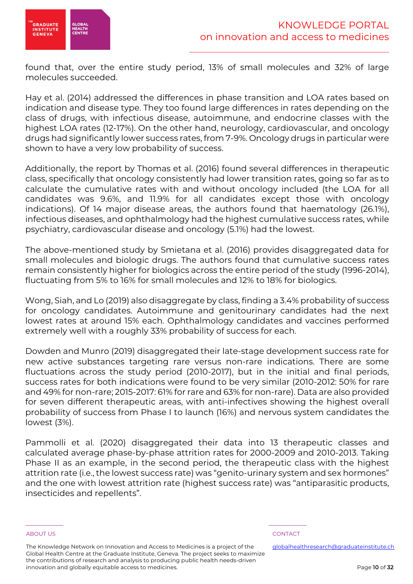

found that, over the entire study period, 13% of small molecules and 32% of large molecules succeeded.

Hay et al. (2014) addressed the differences in phase transition and LOA rates based on indication and disease type. They too found large differences in rates depending on the class of drugs, with infectious disease, autoimmune, and endocrine classes with the highest LOA rates (12-17%). On the other hand, neurology, cardiovascular, and oncology drugs had significantly lower success rates, from 7-9%. Oncology drugs in particular were shown to have a very low probability of success.

Additionally, the report by Thomas et al. (2016) found several differences in therapeutic class, specifically that oncology consistently had lower transition rates, going so far as to calculate the cumulative rates with and without oncology included (the LOA for all candidates was 9.6%, and 11.9% for all candidates except those with oncology indications). Of 14 major disease areas, the authors found that haematology (26.1%), infectious diseases, and ophthalmology had the highest cumulative success rates, while psychiatry, cardiovascular disease and oncology (5.1%) had the lowest.

The above-mentioned study by Smietana et al. (2016) provides disaggregated data for small molecules and biologic drugs. The authors found that cumulative success rates remain consistently higher for biologics across the entire period of the study (1996-2014), fluctuating from 5% to 16% for small molecules and 12% to 18% for biologics.

Wong, Siah, and Lo (2019) also disaggregate by class, finding a 3.4% probability of success for oncology candidates. Autoimmune and genitourinary candidates had the next lowest rates at around 15% each. Ophthalmology candidates and vaccines performed extremely well with a roughly 33% probability of success for each.

Dowden and Munro (2019) disaggregated their late-stage development success rate for new active substances targeting rare versus non-rare indications. There are some fluctuations across the study period (2010-2017), but in the initial and final periods, success rates for both indications were found to be very similar (2010-2012: 50% for rare and 49% for non-rare; 2015-2017: 61% for rare and 63% for non-rare). Data are also provided for seven different therapeutic areas, with anti-infectives showing the highest overall probability of success from Phase I to launch (16%) and nervous system candidates the lowest (3%).

Pammolli et al. (2020) disaggregated their data into 13 therapeutic classes and calculated average phase-by-phase attrition rates for 2000-2009 and 2010-2013. Taking Phase II as an example, in the second period, the therapeutic class with the highest attrition rate (i.e., the lowest success rate) was "genito-urinary system and sex hormones" and the one with lowest attrition rate (highest success rate) was "antiparasitic products, insecticides and repellents".

The Knowledge Network on Innovation and Access to Medicines is a project of the Global Health Centre at the Graduate Institute, Geneva. The project seeks to maximize the contributions of research and analysis to producing public health needs-driven innovation and globally equitable access to medicines.

\_\_\_\_\_\_\_\_\_\_\_ \_\_\_\_\_\_\_\_\_\_\_

### ABOUT US AND LOCAL CONTACT AND LOCAL CONTACT AND LOCAL CONTACT AND LOCAL CONTACT.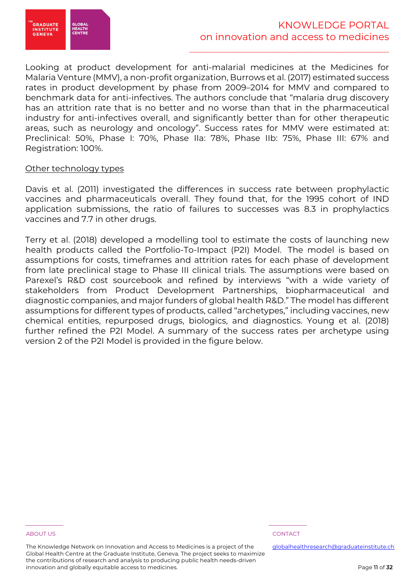

Looking at product development for anti-malarial medicines at the Medicines for Malaria Venture (MMV), a non-profit organization, Burrows et al. (2017) estimated success rates in product development by phase from 2009–2014 for MMV and compared to benchmark data for anti-infectives. The authors conclude that "malaria drug discovery has an attrition rate that is no better and no worse than that in the pharmaceutical industry for anti-infectives overall, and significantly better than for other therapeutic areas, such as neurology and oncology". Success rates for MMV were estimated at: Preclinical: 50%, Phase I: 70%, Phase IIa: 78%, Phase IIb: 75%, Phase III: 67% and Registration: 100%.

### Other technology types

Davis et al. (2011) investigated the differences in success rate between prophylactic vaccines and pharmaceuticals overall. They found that, for the 1995 cohort of IND application submissions, the ratio of failures to successes was 8.3 in prophylactics vaccines and 7.7 in other drugs.

Terry et al. (2018) developed a modelling tool to estimate the costs of launching new health products called the Portfolio-To-Impact (P2I) Model. The model is based on assumptions for costs, timeframes and attrition rates for each phase of development from late preclinical stage to Phase III clinical trials. The assumptions were based on Parexel's R&D cost sourcebook and refined by interviews "with a wide variety of stakeholders from Product Development Partnerships, biopharmaceutical and diagnostic companies, and major funders of global health R&D." The model has different assumptions for different types of products, called "archetypes," including vaccines, new chemical entities, repurposed drugs, biologics, and diagnostics. Young et al. (2018) further refined the P2I Model. A summary of the success rates per archetype using version 2 of the P2I Model is provided in the figure below.

### ABOUT US AND LOCAL CONTACT AND LOCAL CONTACT AND LOCAL CONTACT AND LOCAL CONTACT.

The Knowledge Network on Innovation and Access to Medicines is a project of the Global Health Centre at the Graduate Institute, Geneva. The project seeks to maximize the contributions of research and analysis to producing public health needs-driven innovation and globally equitable access to medicines.

\_\_\_\_\_\_\_\_\_\_\_ \_\_\_\_\_\_\_\_\_\_\_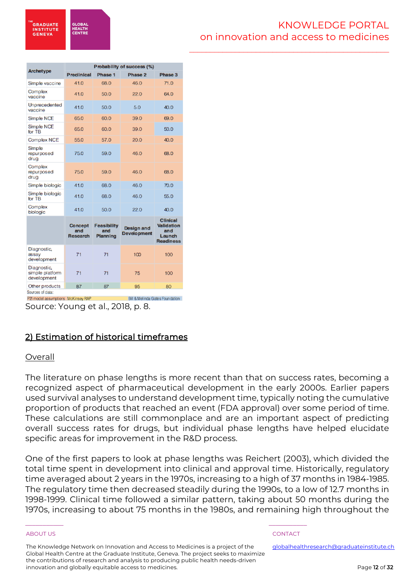**GLOBA HEALTH**<br>CENTRI

\_\_\_\_\_\_\_\_\_\_\_\_\_\_\_\_\_\_\_\_\_\_\_\_\_\_\_\_\_\_\_\_\_\_\_\_\_\_\_\_\_\_\_\_\_\_\_\_

| <b>Archetype</b>                              | <b>Preclinical</b>                       |                                       |                                         | Probability of success (%)                                         |  |  |  |  |  |  |  |
|-----------------------------------------------|------------------------------------------|---------------------------------------|-----------------------------------------|--------------------------------------------------------------------|--|--|--|--|--|--|--|
|                                               |                                          | Phase 1                               | Phase 2                                 | Phase 3                                                            |  |  |  |  |  |  |  |
| Simple vaccine                                | 41.0                                     | 68.0                                  | 46.0                                    | 71.0                                                               |  |  |  |  |  |  |  |
| Complex<br>vaccine                            | 41.0                                     | 50.0                                  | 22.0                                    | 64.0                                                               |  |  |  |  |  |  |  |
| Unprecedented<br>vaccine                      | 41.0                                     | 50.0                                  | 5.0                                     | 40.0                                                               |  |  |  |  |  |  |  |
| Simple NCE                                    | 65.0                                     | 60.0                                  | 39.0                                    | 69.0                                                               |  |  |  |  |  |  |  |
| Simple NCE<br>for TB                          | 65.0                                     | 60.0                                  | 39.0                                    | 50.0                                                               |  |  |  |  |  |  |  |
| Complex NCE                                   | 55.0                                     | 57.0                                  | 20.0                                    | 40.0                                                               |  |  |  |  |  |  |  |
| Simple<br>repurposed<br>drug                  | 75.0                                     | 59.0                                  | 46.0                                    | 68.0                                                               |  |  |  |  |  |  |  |
| Complex<br>repurposed<br>drug                 | 75.0                                     | 59.0                                  | 46.0                                    | 68.0                                                               |  |  |  |  |  |  |  |
| Simple biologic                               | 41.0                                     | 68.0                                  | 46.0                                    | 70.0                                                               |  |  |  |  |  |  |  |
| Simple biologic<br>for TB                     | 41.0                                     | 68.0                                  | 46.0                                    | 55.0                                                               |  |  |  |  |  |  |  |
| Complex<br>biologic                           | 41.0                                     | 50.0                                  | 22.0                                    | 40.0                                                               |  |  |  |  |  |  |  |
|                                               | <b>Concept</b><br>and<br><b>Research</b> | <b>Feasibility</b><br>and<br>Planning | <b>Design and</b><br><b>Development</b> | <b>Clinical</b><br>Validation<br>and<br>Launch<br><b>Readiness</b> |  |  |  |  |  |  |  |
| Diagnostic,<br>assay<br>development           | 71                                       | 71                                    | 100                                     | 100                                                                |  |  |  |  |  |  |  |
| Diagnostic,<br>simple platform<br>development | 71                                       | 71                                    | 75                                      | 100                                                                |  |  |  |  |  |  |  |
| Other products<br>Sources of data:            | 87                                       | 87                                    | 95                                      | 80                                                                 |  |  |  |  |  |  |  |

P2I model assumptions McKinsey RAP Bill & Melinda Gates Foundation

Source: Young et al., 2018, p. 8.

## 2) Estimation of historical timeframes

### Overall

The literature on phase lengths is more recent than that on success rates, becoming a recognized aspect of pharmaceutical development in the early 2000s. Earlier papers used survival analyses to understand development time, typically noting the cumulative proportion of products that reached an event (FDA approval) over some period of time. These calculations are still commonplace and are an important aspect of predicting overall success rates for drugs, but individual phase lengths have helped elucidate specific areas for improvement in the R&D process.

One of the first papers to look at phase lengths was Reichert (2003), which divided the total time spent in development into clinical and approval time. Historically, regulatory time averaged about 2 years in the 1970s, increasing to a high of 37 months in 1984-1985. The regulatory time then decreased steadily during the 1990s, to a low of 12.7 months in 1998-1999. Clinical time followed a similar pattern, taking about 50 months during the 1970s, increasing to about 75 months in the 1980s, and remaining high throughout the

The Knowledge Network on Innovation and Access to Medicines is a project of the Global Health Centre at the Graduate Institute, Geneva. The project seeks to maximize the contributions of research and analysis to producing public health needs-driven innovation and globally equitable access to medicines.

\_\_\_\_\_\_\_\_\_\_\_ \_\_\_\_\_\_\_\_\_\_\_

### ABOUT US AND LOCAL CONTACT AND LOCAL CONTACT AND LOCAL CONTACT AND LOCAL CONTACT.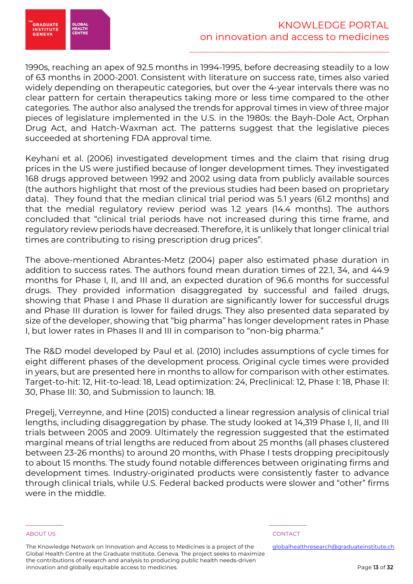

1990s, reaching an apex of 92.5 months in 1994-1995, before decreasing steadily to a low of 63 months in 2000-2001. Consistent with literature on success rate, times also varied widely depending on therapeutic categories, but over the 4-year intervals there was no clear pattern for certain therapeutics taking more or less time compared to the other categories. The author also analysed the trends for approval times in view of three major pieces of legislature implemented in the U.S. in the 1980s: the Bayh-Dole Act, Orphan Drug Act, and Hatch-Waxman act. The patterns suggest that the legislative pieces succeeded at shortening FDA approval time.

Keyhani et al. (2006) investigated development times and the claim that rising drug prices in the US were justified because of longer development times. They investigated 168 drugs approved between 1992 and 2002 using data from publicly available sources (the authors highlight that most of the previous studies had been based on proprietary data). They found that the median clinical trial period was 5.1 years (61.2 months) and that the medial regulatory review period was 1.2 years (14.4 months). The authors concluded that "clinical trial periods have not increased during this time frame, and regulatory review periods have decreased. Therefore, it is unlikely that longer clinical trial times are contributing to rising prescription drug prices".

The above-mentioned Abrantes-Metz (2004) paper also estimated phase duration in addition to success rates. The authors found mean duration times of 22.1, 34, and 44.9 months for Phase I, II, and III and, an expected duration of 96.6 months for successful drugs. They provided information disaggregated by successful and failed drugs, showing that Phase I and Phase II duration are significantly lower for successful drugs and Phase III duration is lower for failed drugs. They also presented data separated by size of the developer, showing that "big pharma" has longer development rates in Phase I, but lower rates in Phases II and III in comparison to "non-big pharma."

The R&D model developed by Paul et al. (2010) includes assumptions of cycle times for eight different phases of the development process. Original cycle times were provided in years, but are presented here in months to allow for comparison with other estimates. Target-to-hit: 12, Hit-to-lead: 18, Lead optimization: 24, Preclinical: 12, Phase I: 18, Phase II: 30, Phase III: 30, and Submission to launch: 18.

Pregelj, Verreynne, and Hine (2015) conducted a linear regression analysis of clinical trial lengths, including disaggregation by phase. The study looked at 14,319 Phase I, II, and III trials between 2005 and 2009. Ultimately the regression suggested that the estimated marginal means of trial lengths are reduced from about 25 months (all phases clustered between 23-26 months) to around 20 months, with Phase I tests dropping precipitously to about 15 months. The study found notable differences between originating firms and development times. Industry-originated products were consistently faster to advance through clinical trials, while U.S. Federal backed products were slower and "other" firms were in the middle.

The Knowledge Network on Innovation and Access to Medicines is a project of the Global Health Centre at the Graduate Institute, Geneva. The project seeks to maximize the contributions of research and analysis to producing public health needs-driven innovation and globally equitable access to medicines.

\_\_\_\_\_\_\_\_\_\_\_ \_\_\_\_\_\_\_\_\_\_\_

### ABOUT US AND RESERVE TO A RESERVE THE SERVE TO A RESERVE THE SERVE TO A RESERVE THAT A RESERVE TO A RESERVE TO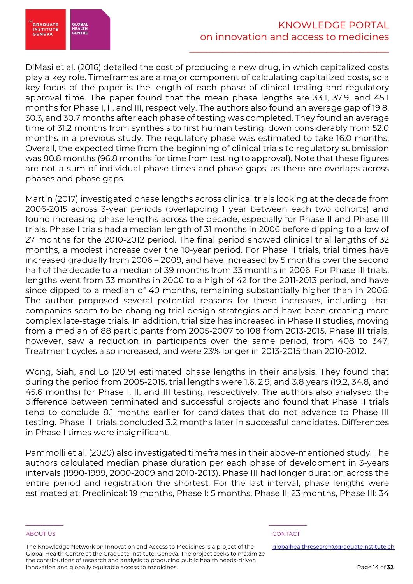

DiMasi et al. (2016) detailed the cost of producing a new drug, in which capitalized costs play a key role. Timeframes are a major component of calculating capitalized costs, so a key focus of the paper is the length of each phase of clinical testing and regulatory approval time. The paper found that the mean phase lengths are 33.1, 37.9, and 45.1 months for Phase I, II, and III, respectively. The authors also found an average gap of 19.8, 30.3, and 30.7 months after each phase of testing was completed. They found an average time of 31.2 months from synthesis to first human testing, down considerably from 52.0 months in a previous study. The regulatory phase was estimated to take 16.0 months. Overall, the expected time from the beginning of clinical trials to regulatory submission was 80.8 months (96.8 months for time from testing to approval). Note that these figures are not a sum of individual phase times and phase gaps, as there are overlaps across phases and phase gaps.

Martin (2017) investigated phase lengths across clinical trials looking at the decade from 2006-2015 across 3-year periods (overlapping 1 year between each two cohorts) and found increasing phase lengths across the decade, especially for Phase II and Phase III trials. Phase I trials had a median length of 31 months in 2006 before dipping to a low of 27 months for the 2010-2012 period. The final period showed clinical trial lengths of 32 months, a modest increase over the 10-year period. For Phase II trials, trial times have increased gradually from 2006 – 2009, and have increased by 5 months over the second half of the decade to a median of 39 months from 33 months in 2006. For Phase III trials, lengths went from 33 months in 2006 to a high of 42 for the 2011-2013 period, and have since dipped to a median of 40 months, remaining substantially higher than in 2006. The author proposed several potential reasons for these increases, including that companies seem to be changing trial design strategies and have been creating more complex late-stage trials. In addition, trial size has increased in Phase II studies, moving from a median of 88 participants from 2005-2007 to 108 from 2013-2015. Phase III trials, however, saw a reduction in participants over the same period, from 408 to 347. Treatment cycles also increased, and were 23% longer in 2013-2015 than 2010-2012.

Wong, Siah, and Lo (2019) estimated phase lengths in their analysis. They found that during the period from 2005-2015, trial lengths were 1.6, 2.9, and 3.8 years (19.2, 34.8, and 45.6 months) for Phase I, II, and III testing, respectively. The authors also analysed the difference between terminated and successful projects and found that Phase II trials tend to conclude 8.1 months earlier for candidates that do not advance to Phase III testing. Phase III trials concluded 3.2 months later in successful candidates. Differences in Phase I times were insignificant.

Pammolli et al. (2020) also investigated timeframes in their above-mentioned study. The authors calculated median phase duration per each phase of development in 3-years intervals (1990-1999, 2000-2009 and 2010-2013). Phase III had longer duration across the entire period and registration the shortest. For the last interval, phase lengths were estimated at: Preclinical: 19 months, Phase I: 5 months, Phase II: 23 months, Phase III: 34

The Knowledge Network on Innovation and Access to Medicines is a project of the Global Health Centre at the Graduate Institute, Geneva. The project seeks to maximize the contributions of research and analysis to producing public health needs-driven innovation and globally equitable access to medicines.

\_\_\_\_\_\_\_\_\_\_\_ \_\_\_\_\_\_\_\_\_\_\_

ABOUT US AND RESERVE TO A RESERVE THE SERVE TO A RESERVE THE SERVE TO A RESERVE THAT A RESERVE TO A RESERVE TO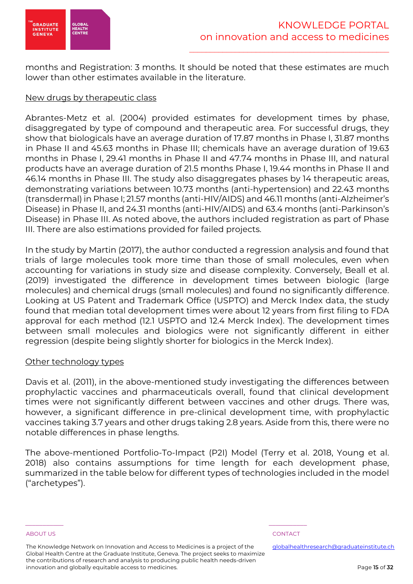

months and Registration: 3 months. It should be noted that these estimates are much lower than other estimates available in the literature.

### New drugs by therapeutic class

Abrantes-Metz et al. (2004) provided estimates for development times by phase, disaggregated by type of compound and therapeutic area. For successful drugs, they show that biologicals have an average duration of 17.87 months in Phase I, 31.87 months in Phase II and 45.63 months in Phase III; chemicals have an average duration of 19.63 months in Phase I, 29.41 months in Phase II and 47.74 months in Phase III, and natural products have an average duration of 21.5 months Phase I, 19.44 months in Phase II and 46.14 months in Phase III. The study also disaggregates phases by 14 therapeutic areas, demonstrating variations between 10.73 months (anti-hypertension) and 22.43 months (transdermal) in Phase I; 21.57 months (anti-HIV/AIDS) and 46.11 months (anti-Alzheimer's Disease) in Phase II, and 24.31 months (anti-HIV/AIDS) and 63.4 months (anti-Parkinson's Disease) in Phase III. As noted above, the authors included registration as part of Phase III. There are also estimations provided for failed projects.

In the study by Martin (2017), the author conducted a regression analysis and found that trials of large molecules took more time than those of small molecules, even when accounting for variations in study size and disease complexity. Conversely, Beall et al. (2019) investigated the difference in development times between biologic (large molecules) and chemical drugs (small molecules) and found no significantly difference. Looking at US Patent and Trademark Office (USPTO) and Merck Index data, the study found that median total development times were about 12 years from first filing to FDA approval for each method (12.1 USPTO and 12.4 Merck Index). The development times between small molecules and biologics were not significantly different in either regression (despite being slightly shorter for biologics in the Merck Index).

### Other technology types

Davis et al. (2011), in the above-mentioned study investigating the differences between prophylactic vaccines and pharmaceuticals overall, found that clinical development times were not significantly different between vaccines and other drugs. There was, however, a significant difference in pre-clinical development time, with prophylactic vaccines taking 3.7 years and other drugs taking 2.8 years. Aside from this, there were no notable differences in phase lengths.

The above-mentioned Portfolio-To-Impact (P2I) Model (Terry et al. 2018, Young et al. 2018) also contains assumptions for time length for each development phase, summarized in the table below for different types of technologies included in the model ("archetypes").

The Knowledge Network on Innovation and Access to Medicines is a project of the Global Health Centre at the Graduate Institute, Geneva. The project seeks to maximize the contributions of research and analysis to producing public health needs-driven innovation and globally equitable access to medicines.

\_\_\_\_\_\_\_\_\_\_\_ \_\_\_\_\_\_\_\_\_\_\_

ABOUT US AND RESERVE TO A RESERVE THE SERVE TO A RESERVE THE SERVE TO A RESERVE THAT A RESERVE TO A RESERVE TO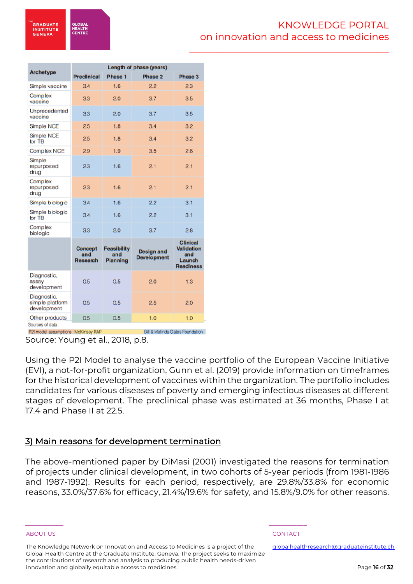**GLOBA HEALTH**<br>CENTRI

\_\_\_\_\_\_\_\_\_\_\_\_\_\_\_\_\_\_\_\_\_\_\_\_\_\_\_\_\_\_\_\_\_\_\_\_\_\_\_\_\_\_\_\_\_\_\_\_

|                                               | Length of phase (years)                  |                                              |                                         |                                                                    |  |  |  |  |
|-----------------------------------------------|------------------------------------------|----------------------------------------------|-----------------------------------------|--------------------------------------------------------------------|--|--|--|--|
| <b>Archetype</b>                              | <b>Preclinical</b>                       | Phase 1                                      | Phase 2                                 | Phase 3                                                            |  |  |  |  |
| Simple vaccine                                | 3.4                                      | 1.6                                          | 2.2                                     | 2.3                                                                |  |  |  |  |
| Complex<br>vaccine                            | 33                                       | 2.0                                          | 3.7                                     | 3.5                                                                |  |  |  |  |
| Unprecedented<br>vaccine                      | 33                                       | 2.0                                          | 3.7                                     | 3.5                                                                |  |  |  |  |
| Simple NCE                                    | 2.5                                      | 1.8                                          | 3.4                                     | 3.2                                                                |  |  |  |  |
| Simple NCE<br>for TB                          | 2.5                                      | 1.8                                          | 3.4                                     | 3.2                                                                |  |  |  |  |
| Complex NCE                                   | 29                                       | 1.9                                          | 3.5                                     | 2.8                                                                |  |  |  |  |
| Simple<br>repurposed<br>drug                  | 23                                       | 1.6                                          | 2.1                                     | 2.1                                                                |  |  |  |  |
| Complex<br>repurposed<br>drug                 | 23                                       | 1.6                                          | 2.1                                     | 2.1                                                                |  |  |  |  |
| Simple biologic                               | 3.4                                      | 1.6                                          | 2.2                                     | 3.1                                                                |  |  |  |  |
| Simple biologic<br>for TB                     | 3.4                                      | 1.6                                          | 2.2                                     | 3.1                                                                |  |  |  |  |
| Complex<br>biologic                           | 33                                       | 2.0                                          | 3.7                                     | 2.8                                                                |  |  |  |  |
|                                               | <b>Concept</b><br>and<br><b>Research</b> | <b>Feasibility</b><br>and<br><b>Planning</b> | <b>Design and</b><br><b>Development</b> | <b>Clinical</b><br>Validation<br>and<br>Launch<br><b>Readiness</b> |  |  |  |  |
| Diagnostic,<br>assay<br>development           | 0.5                                      | 0.5                                          | 2.0                                     | 1.3                                                                |  |  |  |  |
| Diagnostic,<br>simple platform<br>development | 0.5                                      | 0.5                                          | 2.5                                     | 2.0                                                                |  |  |  |  |
| Other products<br>Sources of data:            | 0.5                                      | 0.5                                          | 1.0                                     | 1.0                                                                |  |  |  |  |

P2I model assumptions McKinsey RAP Bill & Melinda Gates Foundation Source: Young et al., 2018, p.8.

Using the P2I Model to analyse the vaccine portfolio of the European Vaccine Initiative (EVI), a not-for-profit organization, Gunn et al. (2019) provide information on timeframes for the historical development of vaccines within the organization. The portfolio includes candidates for various diseases of poverty and emerging infectious diseases at different stages of development. The preclinical phase was estimated at 36 months, Phase I at 17.4 and Phase II at 22.5.

## 3) Main reasons for development termination

The above-mentioned paper by DiMasi (2001) investigated the reasons for termination of projects under clinical development, in two cohorts of 5-year periods (from 1981-1986 and 1987-1992). Results for each period, respectively, are 29.8%/33.8% for economic reasons, 33.0%/37.6% for efficacy, 21.4%/19.6% for safety, and 15.8%/9.0% for other reasons.

The Knowledge Network on Innovation and Access to Medicines is a project of the Global Health Centre at the Graduate Institute, Geneva. The project seeks to maximize the contributions of research and analysis to producing public health needs-driven innovation and globally equitable access to medicines.

\_\_\_\_\_\_\_\_\_\_\_ \_\_\_\_\_\_\_\_\_\_\_

ABOUT US AND RESERVE TO A RESERVE THE SERVE TO A RESERVE THE SERVE TO A RESERVE THAT A RESERVE TO A RESERVE TO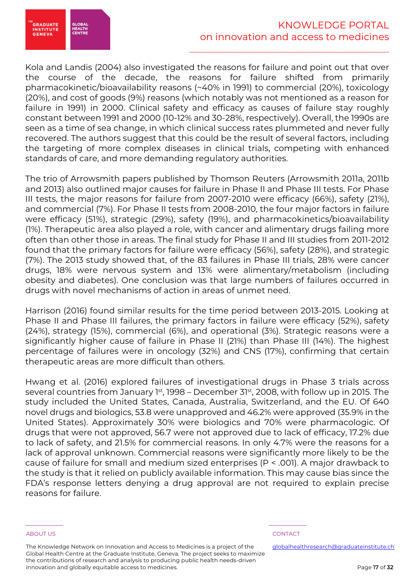

Kola and Landis (2004) also investigated the reasons for failure and point out that over the course of the decade, the reasons for failure shifted from primarily pharmacokinetic/bioavailability reasons (~40% in 1991) to commercial (20%), toxicology (20%), and cost of goods (9%) reasons (which notably was not mentioned as a reason for failure in 1991) in 2000. Clinical safety and efficacy as causes of failure stay roughly constant between 1991 and 2000 (10-12% and 30-28%, respectively). Overall, the 1990s are seen as a time of sea change, in which clinical success rates plummeted and never fully recovered. The authors suggest that this could be the result of several factors, including the targeting of more complex diseases in clinical trials, competing with enhanced standards of care, and more demanding regulatory authorities.

The trio of Arrowsmith papers published by Thomson Reuters (Arrowsmith 2011a, 2011b and 2013) also outlined major causes for failure in Phase II and Phase III tests. For Phase III tests, the major reasons for failure from 2007-2010 were efficacy (66%), safety (21%), and commercial (7%). For Phase II tests from 2008-2010, the four major factors in failure were efficacy (51%), strategic (29%), safety (19%), and pharmacokinetics/bioavailability (1%). Therapeutic area also played a role, with cancer and alimentary drugs failing more often than other those in areas. The final study for Phase II and III studies from 2011-2012 found that the primary factors for failure were efficacy (56%), safety (28%), and strategic (7%). The 2013 study showed that, of the 83 failures in Phase III trials, 28% were cancer drugs, 18% were nervous system and 13% were alimentary/metabolism (including obesity and diabetes). One conclusion was that large numbers of failures occurred in drugs with novel mechanisms of action in areas of unmet need.

Harrison (2016) found similar results for the time period between 2013-2015. Looking at Phase II and Phase III failures, the primary factors in failure were efficacy (52%), safety (24%), strategy (15%), commercial (6%), and operational (3%). Strategic reasons were a significantly higher cause of failure in Phase II (21%) than Phase III (14%). The highest percentage of failures were in oncology (32%) and CNS (17%), confirming that certain therapeutic areas are more difficult than others.

Hwang et al. (2016) explored failures of investigational drugs in Phase 3 trials across several countries from January 1st, 1998 – December 31st, 2008, with follow up in 2015. The study included the United States, Canada, Australia, Switzerland, and the EU. Of 640 novel drugs and biologics, 53.8 were unapproved and 46.2% were approved (35.9% in the United States). Approximately 30% were biologics and 70% were pharmacologic. Of drugs that were not approved, 56.7 were not approved due to lack of efficacy, 17.2% due to lack of safety, and 21.5% for commercial reasons. In only 4.7% were the reasons for a lack of approval unknown. Commercial reasons were significantly more likely to be the cause of failure for small and medium sized enterprises (P < .001). A major drawback to the study is that it relied on publicly available information. This may cause bias since the FDA's response letters denying a drug approval are not required to explain precise reasons for failure.

The Knowledge Network on Innovation and Access to Medicines is a project of the Global Health Centre at the Graduate Institute, Geneva. The project seeks to maximize the contributions of research and analysis to producing public health needs-driven innovation and globally equitable access to medicines.

\_\_\_\_\_\_\_\_\_\_\_ \_\_\_\_\_\_\_\_\_\_\_

### ABOUT US AND RESERVE TO A RESERVE THE SERVE TO A RESERVE THE SERVE TO A RESERVE THAT A RESERVE TO A RESERVE TO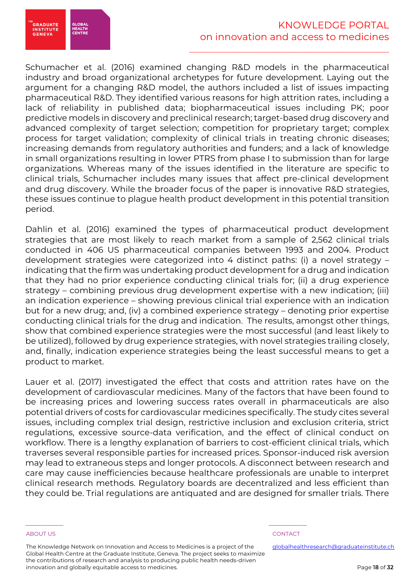

Schumacher et al. (2016) examined changing R&D models in the pharmaceutical industry and broad organizational archetypes for future development. Laying out the argument for a changing R&D model, the authors included a list of issues impacting pharmaceutical R&D. They identified various reasons for high attrition rates, including a lack of reliability in published data; biopharmaceutical issues including PK; poor predictive models in discovery and preclinical research; target-based drug discovery and advanced complexity of target selection; competition for proprietary target; complex process for target validation; complexity of clinical trials in treating chronic diseases; increasing demands from regulatory authorities and funders; and a lack of knowledge in small organizations resulting in lower PTRS from phase I to submission than for large organizations. Whereas many of the issues identified in the literature are specific to clinical trials, Schumacher includes many issues that affect pre-clinical development and drug discovery. While the broader focus of the paper is innovative R&D strategies, these issues continue to plague health product development in this potential transition period.

Dahlin et al. (2016) examined the types of pharmaceutical product development strategies that are most likely to reach market from a sample of 2,562 clinical trials conducted in 406 US pharmaceutical companies between 1993 and 2004. Product development strategies were categorized into 4 distinct paths: (i) a novel strategy – indicating that the firm was undertaking product development for a drug and indication that they had no prior experience conducting clinical trials for; (ii) a drug experience strategy – combining previous drug development expertise with a new indication; (iii) an indication experience – showing previous clinical trial experience with an indication but for a new drug; and, (iv) a combined experience strategy – denoting prior expertise conducting clinical trials for the drug and indication. The results, amongst other things, show that combined experience strategies were the most successful (and least likely to be utilized), followed by drug experience strategies, with novel strategies trailing closely, and, finally, indication experience strategies being the least successful means to get a product to market.

Lauer et al. (2017) investigated the effect that costs and attrition rates have on the development of cardiovascular medicines. Many of the factors that have been found to be increasing prices and lowering success rates overall in pharmaceuticals are also potential drivers of costs for cardiovascular medicines specifically. The study cites several issues, including complex trial design, restrictive inclusion and exclusion criteria, strict regulations, excessive source-data verification, and the effect of clinical conduct on workflow. There is a lengthy explanation of barriers to cost-efficient clinical trials, which traverses several responsible parties for increased prices. Sponsor-induced risk aversion may lead to extraneous steps and longer protocols. A disconnect between research and care may cause inefficiencies because healthcare professionals are unable to interpret clinical research methods. Regulatory boards are decentralized and less efficient than they could be. Trial regulations are antiquated and are designed for smaller trials. There

<sup>E</sup>GRADUATE<br>INSTITUTE<br>GENEVA

GLOBA

The Knowledge Network on Innovation and Access to Medicines is a project of the Global Health Centre at the Graduate Institute, Geneva. The project seeks to maximize the contributions of research and analysis to producing public health needs-driven innovation and globally equitable access to medicines.

\_\_\_\_\_\_\_\_\_\_\_ \_\_\_\_\_\_\_\_\_\_\_

### ABOUT US AND RESERVE TO A RESERVE THE SERVE TO A RESERVE THE SERVE TO A RESERVE THAT A RESERVE TO A RESERVE TO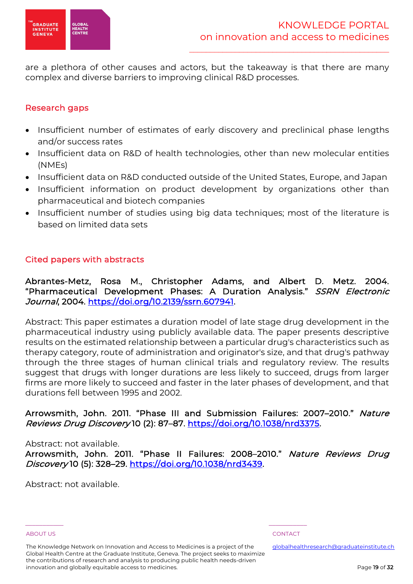

are a plethora of other causes and actors, but the takeaway is that there are many complex and diverse barriers to improving clinical R&D processes.

## Research gaps

- Insufficient number of estimates of early discovery and preclinical phase lengths and/or success rates
- Insufficient data on R&D of health technologies, other than new molecular entities (NMEs)
- Insufficient data on R&D conducted outside of the United States, Europe, and Japan
- Insufficient information on product development by organizations other than pharmaceutical and biotech companies
- Insufficient number of studies using big data techniques; most of the literature is based on limited data sets

## Cited papers with abstracts

Abrantes-Metz, Rosa M., Christopher Adams, and Albert D. Metz. 2004. "Pharmaceutical Development Phases: A Duration Analysis." SSRN Electronic Journal, 2004. https://doi.org/10.2139/ssrn.607941.

Abstract: This paper estimates a duration model of late stage drug development in the pharmaceutical industry using publicly available data. The paper presents descriptive results on the estimated relationship between a particular drug's characteristics such as therapy category, route of administration and originator's size, and that drug's pathway through the three stages of human clinical trials and regulatory review. The results suggest that drugs with longer durations are less likely to succeed, drugs from larger firms are more likely to succeed and faster in the later phases of development, and that durations fell between 1995 and 2002.

## Arrowsmith, John. 2011. "Phase III and Submission Failures: 2007–2010." Nature Reviews Drug Discovery 10 (2): 87-87. https://doi.org/10.1038/nrd3375.

### Abstract: not available.

Arrowsmith, John. 2011. "Phase II Failures: 2008–2010." Nature Reviews Drug Discovery 10 (5): 328–29. https://doi.org/10.1038/nrd3439.

Abstract: not available.

The Knowledge Network on Innovation and Access to Medicines is a project of the Global Health Centre at the Graduate Institute, Geneva. The project seeks to maximize the contributions of research and analysis to producing public health needs-driven innovation and globally equitable access to medicines.

\_\_\_\_\_\_\_\_\_\_\_ \_\_\_\_\_\_\_\_\_\_\_

ABOUT US AND RESERVE TO A RESERVE THE SERVE TO A RESERVE THE SERVE TO A RESERVE THAT A RESERVE TO A RESERVE TO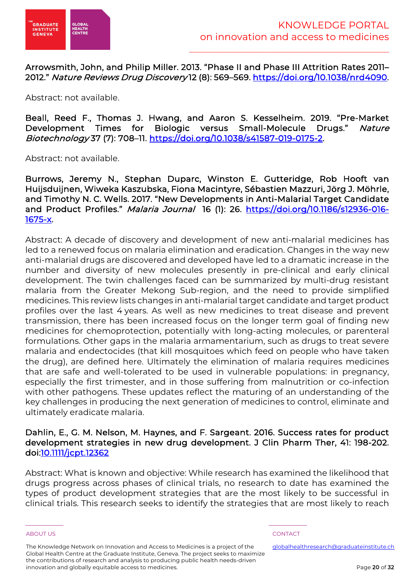

Arrowsmith, John, and Philip Miller. 2013. "Phase II and Phase III Attrition Rates 2011– 2012." Nature Reviews Drug Discovery 12 (8): 569–569. https://doi.org/10.1038/nrd4090.

Abstract: not available.

Beall, Reed F., Thomas J. Hwang, and Aaron S. Kesselheim. 2019. "Pre-Market Development Times for Biologic versus Small-Molecule Drugs." Nature Biotechnology 37 (7): 708–11. https://doi.org/10.1038/s41587-019-0175-2.

Abstract: not available.

Burrows, Jeremy N., Stephan Duparc, Winston E. Gutteridge, Rob Hooft van Huijsduijnen, Wiweka Kaszubska, Fiona Macintyre, Sébastien Mazzuri, Jörg J. Möhrle, and Timothy N. C. Wells. 2017. "New Developments in Anti-Malarial Target Candidate and Product Profiles." Malaria Journal 16 (1): 26. https://doi.org/10.1186/s12936-016-1675-x.

Abstract: A decade of discovery and development of new anti-malarial medicines has led to a renewed focus on malaria elimination and eradication. Changes in the way new anti-malarial drugs are discovered and developed have led to a dramatic increase in the number and diversity of new molecules presently in pre-clinical and early clinical development. The twin challenges faced can be summarized by multi-drug resistant malaria from the Greater Mekong Sub-region, and the need to provide simplified medicines. This review lists changes in anti-malarial target candidate and target product profiles over the last 4 years. As well as new medicines to treat disease and prevent transmission, there has been increased focus on the longer term goal of finding new medicines for chemoprotection, potentially with long-acting molecules, or parenteral formulations. Other gaps in the malaria armamentarium, such as drugs to treat severe malaria and endectocides (that kill mosquitoes which feed on people who have taken the drug), are defined here. Ultimately the elimination of malaria requires medicines that are safe and well-tolerated to be used in vulnerable populations: in pregnancy, especially the first trimester, and in those suffering from malnutrition or co-infection with other pathogens. These updates reflect the maturing of an understanding of the key challenges in producing the next generation of medicines to control, eliminate and ultimately eradicate malaria.

## Dahlin, E., G. M. Nelson, M. Haynes, and F. Sargeant. 2016. Success rates for product development strategies in new drug development. J Clin Pharm Ther, 41: 198-202. doi:10.1111/jcpt.12362

Abstract: What is known and objective: While research has examined the likelihood that drugs progress across phases of clinical trials, no research to date has examined the types of product development strategies that are the most likely to be successful in clinical trials. This research seeks to identify the strategies that are most likely to reach

The Knowledge Network on Innovation and Access to Medicines is a project of the Global Health Centre at the Graduate Institute, Geneva. The project seeks to maximize the contributions of research and analysis to producing public health needs-driven innovation and globally equitable access to medicines.

\_\_\_\_\_\_\_\_\_\_\_ \_\_\_\_\_\_\_\_\_\_\_

### ABOUT US AND RESERVE TO A RESERVE THE SERVE TO A RESERVE THE SERVE TO A RESERVE THAT A RESERVE TO A RESERVE TO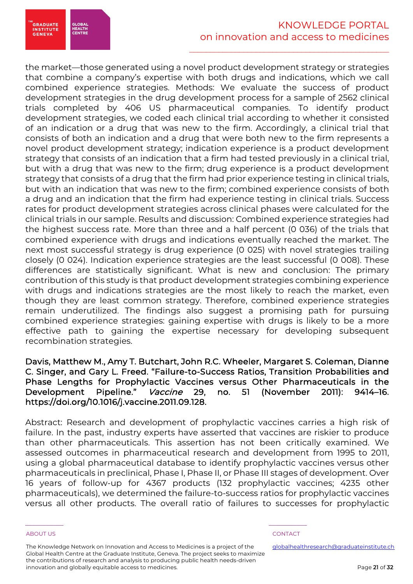the market—those generated using a novel product development strategy or strategies that combine a company's expertise with both drugs and indications, which we call combined experience strategies. Methods: We evaluate the success of product development strategies in the drug development process for a sample of 2562 clinical trials completed by 406 US pharmaceutical companies. To identify product development strategies, we coded each clinical trial according to whether it consisted of an indication or a drug that was new to the firm. Accordingly, a clinical trial that consists of both an indication and a drug that were both new to the firm represents a novel product development strategy; indication experience is a product development strategy that consists of an indication that a firm had tested previously in a clinical trial, but with a drug that was new to the firm; drug experience is a product development strategy that consists of a drug that the firm had prior experience testing in clinical trials, but with an indication that was new to the firm; combined experience consists of both a drug and an indication that the firm had experience testing in clinical trials. Success rates for product development strategies across clinical phases were calculated for the clinical trials in our sample. Results and discussion: Combined experience strategies had the highest success rate. More than three and a half percent (0 036) of the trials that combined experience with drugs and indications eventually reached the market. The next most successful strategy is drug experience (0 025) with novel strategies trailing closely (0 024). Indication experience strategies are the least successful (0 008). These differences are statistically significant. What is new and conclusion: The primary contribution of this study is that product development strategies combining experience with drugs and indications strategies are the most likely to reach the market, even though they are least common strategy. Therefore, combined experience strategies remain underutilized. The findings also suggest a promising path for pursuing combined experience strategies: gaining expertise with drugs is likely to be a more effective path to gaining the expertise necessary for developing subsequent recombination strategies.

Davis, Matthew M., Amy T. Butchart, John R.C. Wheeler, Margaret S. Coleman, Dianne C. Singer, and Gary L. Freed. "Failure-to-Success Ratios, Transition Probabilities and Phase Lengths for Prophylactic Vaccines versus Other Pharmaceuticals in the Development Pipeline." Vaccine 29, no. 51 (November 2011): 9414–16. https://doi.org/10.1016/j.vaccine.2011.09.128.

Abstract: Research and development of prophylactic vaccines carries a high risk of failure. In the past, industry experts have asserted that vaccines are riskier to produce than other pharmaceuticals. This assertion has not been critically examined. We assessed outcomes in pharmaceutical research and development from 1995 to 2011, using a global pharmaceutical database to identify prophylactic vaccines versus other pharmaceuticals in preclinical, Phase I, Phase II, or Phase III stages of development. Over 16 years of follow-up for 4367 products (132 prophylactic vaccines; 4235 other pharmaceuticals), we determined the failure-to-success ratios for prophylactic vaccines versus all other products. The overall ratio of failures to successes for prophylactic

**GRADUATE**<br>INSTITUTE

GENEVA

GLOBAI<br>HEALTH<br>CENTRE

The Knowledge Network on Innovation and Access to Medicines is a project of the Global Health Centre at the Graduate Institute, Geneva. The project seeks to maximize the contributions of research and analysis to producing public health needs-driven innovation and globally equitable access to medicines.

\_\_\_\_\_\_\_\_\_\_\_ \_\_\_\_\_\_\_\_\_\_\_

### ABOUT US AND RESERVE TO A RESERVE THE SERVE TO A RESERVE THE SERVE TO A RESERVE THAT A RESERVE TO A RESERVE TO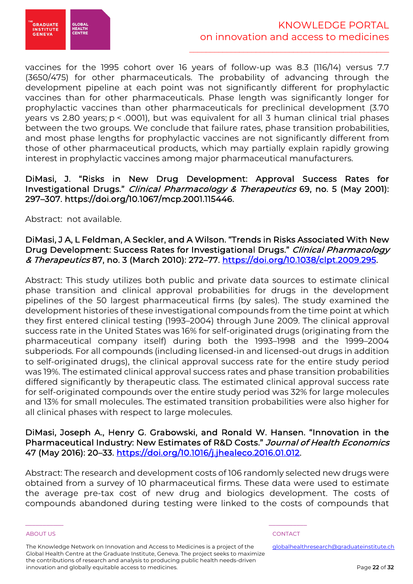

vaccines for the 1995 cohort over 16 years of follow-up was 8.3 (116/14) versus 7.7 (3650/475) for other pharmaceuticals. The probability of advancing through the development pipeline at each point was not significantly different for prophylactic vaccines than for other pharmaceuticals. Phase length was significantly longer for prophylactic vaccines than other pharmaceuticals for preclinical development (3.70 years vs 2.80 years; p < .0001), but was equivalent for all 3 human clinical trial phases between the two groups. We conclude that failure rates, phase transition probabilities, and most phase lengths for prophylactic vaccines are not significantly different from those of other pharmaceutical products, which may partially explain rapidly growing interest in prophylactic vaccines among major pharmaceutical manufacturers.

## DiMasi, J. "Risks in New Drug Development: Approval Success Rates for Investigational Drugs." Clinical Pharmacology & Therapeutics 69, no. 5 (May 2001): 297–307. https://doi.org/10.1067/mcp.2001.115446.

Abstract: not available.

## DiMasi, J A, L Feldman, A Seckler, and A Wilson. "Trends in Risks Associated With New Drug Development: Success Rates for Investigational Drugs." Clinical Pharmacology & Therapeutics 87, no. 3 (March 2010): 272–77. https://doi.org/10.1038/clpt.2009.295.

Abstract: This study utilizes both public and private data sources to estimate clinical phase transition and clinical approval probabilities for drugs in the development pipelines of the 50 largest pharmaceutical firms (by sales). The study examined the development histories of these investigational compounds from the time point at which they first entered clinical testing (1993–2004) through June 2009. The clinical approval success rate in the United States was 16% for self‐originated drugs (originating from the pharmaceutical company itself) during both the 1993–1998 and the 1999–2004 subperiods. For all compounds (including licensed‐in and licensed‐out drugs in addition to self‐originated drugs), the clinical approval success rate for the entire study period was 19%. The estimated clinical approval success rates and phase transition probabilities differed significantly by therapeutic class. The estimated clinical approval success rate for self-originated compounds over the entire study period was 32% for large molecules and 13% for small molecules. The estimated transition probabilities were also higher for all clinical phases with respect to large molecules.

## DiMasi, Joseph A., Henry G. Grabowski, and Ronald W. Hansen. "Innovation in the Pharmaceutical Industry: New Estimates of R&D Costs." Journal of Health Economics 47 (May 2016): 20–33. https://doi.org/10.1016/j.jhealeco.2016.01.012.

Abstract: The research and development costs of 106 randomly selected new drugs were obtained from a survey of 10 pharmaceutical firms. These data were used to estimate the average pre-tax cost of new drug and biologics development. The costs of compounds abandoned during testing were linked to the costs of compounds that

The Knowledge Network on Innovation and Access to Medicines is a project of the Global Health Centre at the Graduate Institute, Geneva. The project seeks to maximize the contributions of research and analysis to producing public health needs-driven innovation and globally equitable access to medicines.

\_\_\_\_\_\_\_\_\_\_\_ \_\_\_\_\_\_\_\_\_\_\_

ABOUT US AND RESERVE TO A RESERVE THE SERVE TO A RESERVE THE SERVE TO A RESERVE THAT A RESERVE TO A RESERVE TO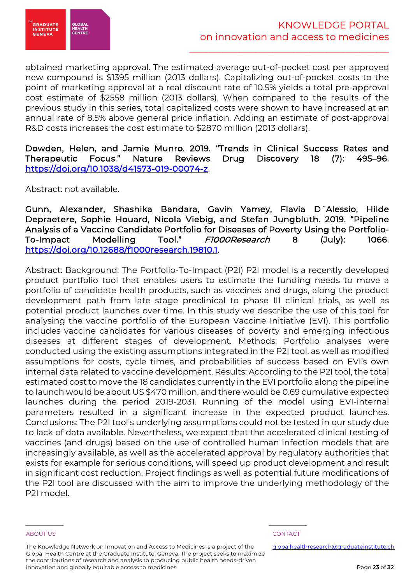

obtained marketing approval. The estimated average out-of-pocket cost per approved new compound is \$1395 million (2013 dollars). Capitalizing out-of-pocket costs to the point of marketing approval at a real discount rate of 10.5% yields a total pre-approval cost estimate of \$2558 million (2013 dollars). When compared to the results of the previous study in this series, total capitalized costs were shown to have increased at an annual rate of 8.5% above general price inflation. Adding an estimate of post-approval R&D costs increases the cost estimate to \$2870 million (2013 dollars).

Dowden, Helen, and Jamie Munro. 2019. "Trends in Clinical Success Rates and Therapeutic Focus." Nature Reviews Drug Discovery 18 (7): 495–96. https://doi.org/10.1038/d41573-019-00074-z.

Abstract: not available.

Gunn, Alexander, Shashika Bandara, Gavin Yamey, Flavia D´Alessio, Hilde Depraetere, Sophie Houard, Nicola Viebig, and Stefan Jungbluth. 2019. "Pipeline Analysis of a Vaccine Candidate Portfolio for Diseases of Poverty Using the Portfolio-To-Impact Modelling Tool." F1000Research 8 (July): 1066. https://doi.org/10.12688/f1000research.19810.1.

Abstract: Background: The Portfolio-To-Impact (P2I) P2I model is a recently developed product portfolio tool that enables users to estimate the funding needs to move a portfolio of candidate health products, such as vaccines and drugs, along the product development path from late stage preclinical to phase III clinical trials, as well as potential product launches over time. In this study we describe the use of this tool for analysing the vaccine portfolio of the European Vaccine Initiative (EVI). This portfolio includes vaccine candidates for various diseases of poverty and emerging infectious diseases at different stages of development. Methods: Portfolio analyses were conducted using the existing assumptions integrated in the P2I tool, as well as modified assumptions for costs, cycle times, and probabilities of success based on EVI's own internal data related to vaccine development. Results: According to the P2I tool, the total estimated cost to move the 18 candidates currently in the EVI portfolio along the pipeline to launch would be about US \$470 million, and there would be 0.69 cumulative expected launches during the period 2019-2031. Running of the model using EVI-internal parameters resulted in a significant increase in the expected product launches. Conclusions: The P2I tool's underlying assumptions could not be tested in our study due to lack of data available. Nevertheless, we expect that the accelerated clinical testing of vaccines (and drugs) based on the use of controlled human infection models that are increasingly available, as well as the accelerated approval by regulatory authorities that exists for example for serious conditions, will speed up product development and result in significant cost reduction. Project findings as well as potential future modifications of the P2I tool are discussed with the aim to improve the underlying methodology of the P2I model.

The Knowledge Network on Innovation and Access to Medicines is a project of the Global Health Centre at the Graduate Institute, Geneva. The project seeks to maximize the contributions of research and analysis to producing public health needs-driven innovation and globally equitable access to medicines.

\_\_\_\_\_\_\_\_\_\_\_ \_\_\_\_\_\_\_\_\_\_\_

### ABOUT US AND RESERVE TO A RESERVE THE SERVE TO A RESERVE THE SERVE TO A RESERVE THAT A RESERVE TO A RESERVE TO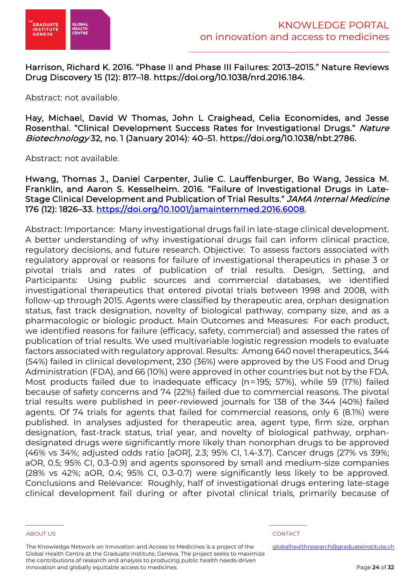

Harrison, Richard K. 2016. "Phase II and Phase III Failures: 2013–2015." Nature Reviews Drug Discovery 15 (12): 817–18. https://doi.org/10.1038/nrd.2016.184.

Abstract: not available.

Hay, Michael, David W Thomas, John L Craighead, Celia Economides, and Jesse Rosenthal. "Clinical Development Success Rates for Investigational Drugs." Nature Biotechnology 32, no. 1 (January 2014): 40–51. https://doi.org/10.1038/nbt.2786.

Abstract: not available.

Hwang, Thomas J., Daniel Carpenter, Julie C. Lauffenburger, Bo Wang, Jessica M. Franklin, and Aaron S. Kesselheim. 2016. "Failure of Investigational Drugs in Late-Stage Clinical Development and Publication of Trial Results." JAMA Internal Medicine 176 (12): 1826–33. https://doi.org/10.1001/jamainternmed.2016.6008.

Abstract: Importance: Many investigational drugs fail in late-stage clinical development. A better understanding of why investigational drugs fail can inform clinical practice, regulatory decisions, and future research. Objective: To assess factors associated with regulatory approval or reasons for failure of investigational therapeutics in phase 3 or pivotal trials and rates of publication of trial results. Design, Setting, and Participants: Using public sources and commercial databases, we identified investigational therapeutics that entered pivotal trials between 1998 and 2008, with follow-up through 2015. Agents were classified by therapeutic area, orphan designation status, fast track designation, novelty of biological pathway, company size, and as a pharmacologic or biologic product. Main Outcomes and Measures: For each product, we identified reasons for failure (efficacy, safety, commercial) and assessed the rates of publication of trial results. We used multivariable logistic regression models to evaluate factors associated with regulatory approval. Results: Among 640 novel therapeutics, 344 (54%) failed in clinical development, 230 (36%) were approved by the US Food and Drug Administration (FDA), and 66 (10%) were approved in other countries but not by the FDA. Most products failed due to inadequate efficacy (n=195; 57%), while 59 (17%) failed because of safety concerns and 74 (22%) failed due to commercial reasons. The pivotal trial results were published in peer-reviewed journals for 138 of the 344 (40%) failed agents. Of 74 trials for agents that failed for commercial reasons, only 6 (8.1%) were published. In analyses adjusted for therapeutic area, agent type, firm size, orphan designation, fast-track status, trial year, and novelty of biological pathway, orphandesignated drugs were significantly more likely than nonorphan drugs to be approved (46% vs 34%; adjusted odds ratio [aOR], 2.3; 95% CI, 1.4-3.7). Cancer drugs (27% vs 39%; aOR, 0.5; 95% CI, 0.3-0.9) and agents sponsored by small and medium-size companies (28% vs 42%; aOR, 0.4; 95% CI, 0.3-0.7) were significantly less likely to be approved. Conclusions and Relevance: Roughly, half of investigational drugs entering late-stage clinical development fail during or after pivotal clinical trials, primarily because of

The Knowledge Network on Innovation and Access to Medicines is a project of the Global Health Centre at the Graduate Institute, Geneva. The project seeks to maximize the contributions of research and analysis to producing public health needs-driven innovation and globally equitable access to medicines.

\_\_\_\_\_\_\_\_\_\_\_ \_\_\_\_\_\_\_\_\_\_\_

### ABOUT US AND RESERVE TO A RESERVE THE SERVE TO A RESERVE THE SERVE TO A RESERVE THAT A RESERVE TO A RESERVE TO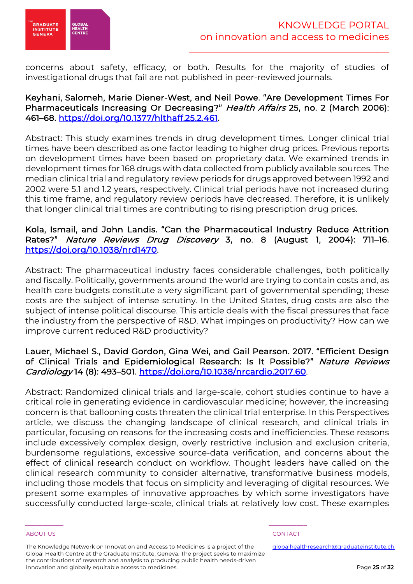

concerns about safety, efficacy, or both. Results for the majority of studies of investigational drugs that fail are not published in peer-reviewed journals.

## Keyhani, Salomeh, Marie Diener-West, and Neil Powe. "Are Development Times For Pharmaceuticals Increasing Or Decreasing?" Health Affairs 25, no. 2 (March 2006): 461–68. https://doi.org/10.1377/hlthaff.25.2.461.

Abstract: This study examines trends in drug development times. Longer clinical trial times have been described as one factor leading to higher drug prices. Previous reports on development times have been based on proprietary data. We examined trends in development times for 168 drugs with data collected from publicly available sources. The median clinical trial and regulatory review periods for drugs approved between 1992 and 2002 were 5.1 and 1.2 years, respectively. Clinical trial periods have not increased during this time frame, and regulatory review periods have decreased. Therefore, it is unlikely that longer clinical trial times are contributing to rising prescription drug prices.

## Kola, Ismail, and John Landis. "Can the Pharmaceutical Industry Reduce Attrition Rates?" Nature Reviews Drug Discovery 3, no. 8 (August 1, 2004): 711–16. https://doi.org/10.1038/nrd1470.

Abstract: The pharmaceutical industry faces considerable challenges, both politically and fiscally. Politically, governments around the world are trying to contain costs and, as health care budgets constitute a very significant part of governmental spending; these costs are the subject of intense scrutiny. In the United States, drug costs are also the subject of intense political discourse. This article deals with the fiscal pressures that face the industry from the perspective of R&D. What impinges on productivity? How can we improve current reduced R&D productivity?

## Lauer, Michael S., David Gordon, Gina Wei, and Gail Pearson. 2017. "Efficient Design of Clinical Trials and Epidemiological Research: Is It Possible?" Nature Reviews Cardiology 14 (8): 493–501. https://doi.org/10.1038/nrcardio.2017.60.

Abstract: Randomized clinical trials and large-scale, cohort studies continue to have a critical role in generating evidence in cardiovascular medicine; however, the increasing concern is that ballooning costs threaten the clinical trial enterprise. In this Perspectives article, we discuss the changing landscape of clinical research, and clinical trials in particular, focusing on reasons for the increasing costs and inefficiencies. These reasons include excessively complex design, overly restrictive inclusion and exclusion criteria, burdensome regulations, excessive source-data verification, and concerns about the effect of clinical research conduct on workflow. Thought leaders have called on the clinical research community to consider alternative, transformative business models, including those models that focus on simplicity and leveraging of digital resources. We present some examples of innovative approaches by which some investigators have successfully conducted large-scale, clinical trials at relatively low cost. These examples

The Knowledge Network on Innovation and Access to Medicines is a project of the Global Health Centre at the Graduate Institute, Geneva. The project seeks to maximize the contributions of research and analysis to producing public health needs-driven innovation and globally equitable access to medicines.

\_\_\_\_\_\_\_\_\_\_\_ \_\_\_\_\_\_\_\_\_\_\_

### ABOUT US AND RESERVE TO A RESERVE THE SERVE TO A RESERVE THE SERVE TO A RESERVE THAT A RESERVE TO A RESERVE TO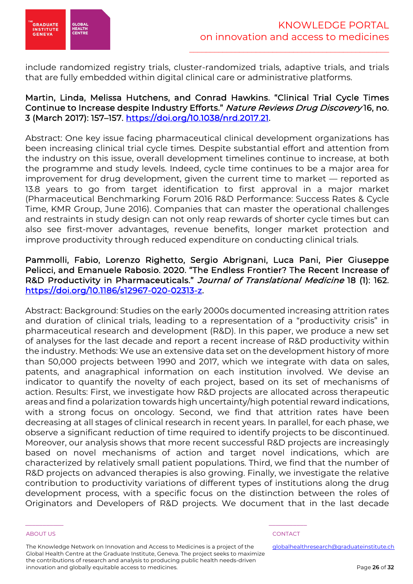

include randomized registry trials, cluster-randomized trials, adaptive trials, and trials that are fully embedded within digital clinical care or administrative platforms.

## Martin, Linda, Melissa Hutchens, and Conrad Hawkins. "Clinical Trial Cycle Times Continue to Increase despite Industry Efforts." Nature Reviews Drug Discovery 16, no. 3 (March 2017): 157–157. https://doi.org/10.1038/nrd.2017.21.

Abstract: One key issue facing pharmaceutical clinical development organizations has been increasing clinical trial cycle times. Despite substantial effort and attention from the industry on this issue, overall development timelines continue to increase, at both the programme and study levels. Indeed, cycle time continues to be a major area for improvement for drug development, given the current time to market — reported as 13.8 years to go from target identification to first approval in a major market (Pharmaceutical Benchmarking Forum 2016 R&D Performance: Success Rates & Cycle Time, KMR Group, June 2016). Companies that can master the operational challenges and restraints in study design can not only reap rewards of shorter cycle times but can also see first-mover advantages, revenue benefits, longer market protection and improve productivity through reduced expenditure on conducting clinical trials.

## Pammolli, Fabio, Lorenzo Righetto, Sergio Abrignani, Luca Pani, Pier Giuseppe Pelicci, and Emanuele Rabosio. 2020. "The Endless Frontier? The Recent Increase of R&D Productivity in Pharmaceuticals." Journal of Translational Medicine 18 (1): 162. https://doi.org/10.1186/s12967-020-02313-z.

Abstract: Background: Studies on the early 2000s documented increasing attrition rates and duration of clinical trials, leading to a representation of a "productivity crisis" in pharmaceutical research and development (R&D). In this paper, we produce a new set of analyses for the last decade and report a recent increase of R&D productivity within the industry. Methods: We use an extensive data set on the development history of more than 50,000 projects between 1990 and 2017, which we integrate with data on sales, patents, and anagraphical information on each institution involved. We devise an indicator to quantify the novelty of each project, based on its set of mechanisms of action. Results: First, we investigate how R&D projects are allocated across therapeutic areas and find a polarization towards high uncertainty/high potential reward indications, with a strong focus on oncology. Second, we find that attrition rates have been decreasing at all stages of clinical research in recent years. In parallel, for each phase, we observe a significant reduction of time required to identify projects to be discontinued. Moreover, our analysis shows that more recent successful R&D projects are increasingly based on novel mechanisms of action and target novel indications, which are characterized by relatively small patient populations. Third, we find that the number of R&D projects on advanced therapies is also growing. Finally, we investigate the relative contribution to productivity variations of different types of institutions along the drug development process, with a specific focus on the distinction between the roles of Originators and Developers of R&D projects. We document that in the last decade

The Knowledge Network on Innovation and Access to Medicines is a project of the Global Health Centre at the Graduate Institute, Geneva. The project seeks to maximize the contributions of research and analysis to producing public health needs-driven innovation and globally equitable access to medicines.

\_\_\_\_\_\_\_\_\_\_\_ \_\_\_\_\_\_\_\_\_\_\_

### ABOUT US AND RESERVE TO A RESERVE THE SERVE TO A RESERVE THE SERVE TO A RESERVE THAT A RESERVE TO A RESERVE TO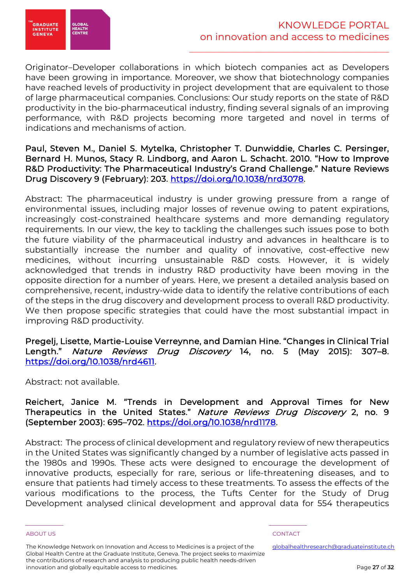

Originator–Developer collaborations in which biotech companies act as Developers have been growing in importance. Moreover, we show that biotechnology companies have reached levels of productivity in project development that are equivalent to those of large pharmaceutical companies. Conclusions: Our study reports on the state of R&D productivity in the bio-pharmaceutical industry, finding several signals of an improving performance, with R&D projects becoming more targeted and novel in terms of indications and mechanisms of action.

## Paul, Steven M., Daniel S. Mytelka, Christopher T. Dunwiddie, Charles C. Persinger, Bernard H. Munos, Stacy R. Lindborg, and Aaron L. Schacht. 2010. "How to Improve R&D Productivity: The Pharmaceutical Industry's Grand Challenge." Nature Reviews Drug Discovery 9 (February): 203. https://doi.org/10.1038/nrd3078.

Abstract: The pharmaceutical industry is under growing pressure from a range of environmental issues, including major losses of revenue owing to patent expirations, increasingly cost-constrained healthcare systems and more demanding regulatory requirements. In our view, the key to tackling the challenges such issues pose to both the future viability of the pharmaceutical industry and advances in healthcare is to substantially increase the number and quality of innovative, cost-effective new medicines, without incurring unsustainable R&D costs. However, it is widely acknowledged that trends in industry R&D productivity have been moving in the opposite direction for a number of years. Here, we present a detailed analysis based on comprehensive, recent, industry-wide data to identify the relative contributions of each of the steps in the drug discovery and development process to overall R&D productivity. We then propose specific strategies that could have the most substantial impact in improving R&D productivity.

## Pregelj, Lisette, Martie-Louise Verreynne, and Damian Hine. "Changes in Clinical Trial Length." Nature Reviews Drug Discovery 14, no. 5 (May 2015): 307-8. https://doi.org/10.1038/nrd4611.

Abstract: not available.

Reichert, Janice M. "Trends in Development and Approval Times for New Therapeutics in the United States." Nature Reviews Drug Discovery 2, no. 9 (September 2003): 695–702. https://doi.org/10.1038/nrd1178.

Abstract: The process of clinical development and regulatory review of new therapeutics in the United States was significantly changed by a number of legislative acts passed in the 1980s and 1990s. These acts were designed to encourage the development of innovative products, especially for rare, serious or life-threatening diseases, and to ensure that patients had timely access to these treatments. To assess the effects of the various modifications to the process, the Tufts Center for the Study of Drug Development analysed clinical development and approval data for 554 therapeutics

The Knowledge Network on Innovation and Access to Medicines is a project of the Global Health Centre at the Graduate Institute, Geneva. The project seeks to maximize the contributions of research and analysis to producing public health needs-driven innovation and globally equitable access to medicines.

\_\_\_\_\_\_\_\_\_\_\_ \_\_\_\_\_\_\_\_\_\_\_

### ABOUT US AND RESERVE TO A RESERVE THE SERVE TO A RESERVE THE SERVE TO A RESERVE THAT A RESERVE TO A RESERVE TO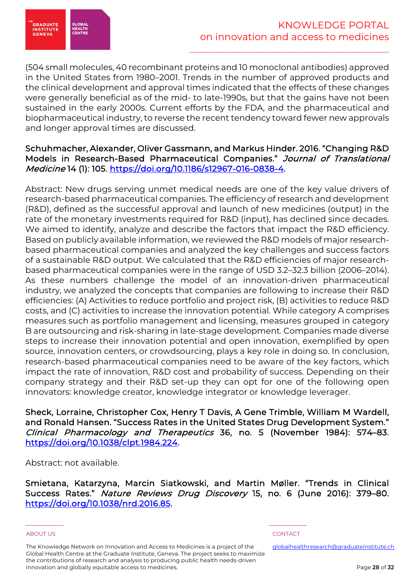

(504 small molecules, 40 recombinant proteins and 10 monoclonal antibodies) approved in the United States from 1980–2001. Trends in the number of approved products and the clinical development and approval times indicated that the effects of these changes were generally beneficial as of the mid- to late-1990s, but that the gains have not been sustained in the early 2000s. Current efforts by the FDA, and the pharmaceutical and biopharmaceutical industry, to reverse the recent tendency toward fewer new approvals and longer approval times are discussed.

## Schuhmacher, Alexander, Oliver Gassmann, and Markus Hinder. 2016. "Changing R&D Models in Research-Based Pharmaceutical Companies." Journal of Translational Medicine 14 (1): 105. https://doi.org/10.1186/s12967-016-0838-4.

Abstract: New drugs serving unmet medical needs are one of the key value drivers of research-based pharmaceutical companies. The efficiency of research and development (R&D), defined as the successful approval and launch of new medicines (output) in the rate of the monetary investments required for R&D (input), has declined since decades. We aimed to identify, analyze and describe the factors that impact the R&D efficiency. Based on publicly available information, we reviewed the R&D models of major researchbased pharmaceutical companies and analyzed the key challenges and success factors of a sustainable R&D output. We calculated that the R&D efficiencies of major researchbased pharmaceutical companies were in the range of USD 3.2–32.3 billion (2006–2014). As these numbers challenge the model of an innovation-driven pharmaceutical industry, we analyzed the concepts that companies are following to increase their R&D efficiencies: (A) Activities to reduce portfolio and project risk, (B) activities to reduce R&D costs, and (C) activities to increase the innovation potential. While category A comprises measures such as portfolio management and licensing, measures grouped in category B are outsourcing and risk-sharing in late-stage development. Companies made diverse steps to increase their innovation potential and open innovation, exemplified by open source, innovation centers, or crowdsourcing, plays a key role in doing so. In conclusion, research-based pharmaceutical companies need to be aware of the key factors, which impact the rate of innovation, R&D cost and probability of success. Depending on their company strategy and their R&D set-up they can opt for one of the following open innovators: knowledge creator, knowledge integrator or knowledge leverager.

Sheck, Lorraine, Christopher Cox, Henry T Davis, A Gene Trimble, William M Wardell, and Ronald Hansen. "Success Rates in the United States Drug Development System." Clinical Pharmacology and Therapeutics 36, no. 5 (November 1984): 574–83. https://doi.org/10.1038/clpt.1984.224.

Abstract: not available.

Smietana, Katarzyna, Marcin Siatkowski, and Martin Møller. "Trends in Clinical Success Rates." Nature Reviews Drug Discovery 15, no. 6 (June 2016): 379–80. https://doi.org/10.1038/nrd.2016.85.

The Knowledge Network on Innovation and Access to Medicines is a project of the Global Health Centre at the Graduate Institute, Geneva. The project seeks to maximize the contributions of research and analysis to producing public health needs-driven innovation and globally equitable access to medicines.

\_\_\_\_\_\_\_\_\_\_\_ \_\_\_\_\_\_\_\_\_\_\_

ABOUT US AND RESERVE TO A RESERVE THE SERVE TO A RESERVE THE SERVE TO A RESERVE THAT A RESERVE TO A RESERVE TO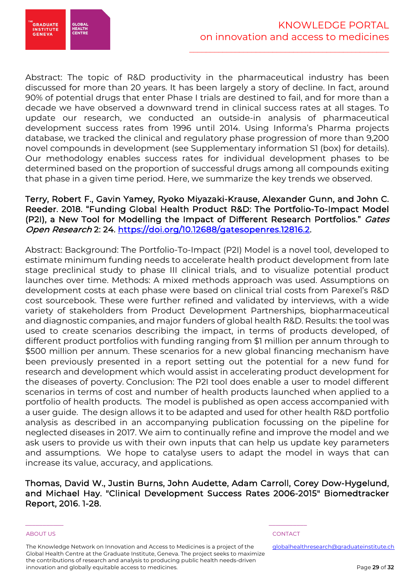

Abstract: The topic of R&D productivity in the pharmaceutical industry has been discussed for more than 20 years. It has been largely a story of decline. In fact, around 90% of potential drugs that enter Phase I trials are destined to fail, and for more than a decade we have observed a downward trend in clinical success rates at all stages. To update our research, we conducted an outside-in analysis of pharmaceutical development success rates from 1996 until 2014. Using Informa's Pharma projects database, we tracked the clinical and regulatory phase progression of more than 9,200 novel compounds in development (see Supplementary information S1 (box) for details). Our methodology enables success rates for individual development phases to be determined based on the proportion of successful drugs among all compounds exiting that phase in a given time period. Here, we summarize the key trends we observed.

## Terry, Robert F., Gavin Yamey, Ryoko Miyazaki-Krause, Alexander Gunn, and John C. Reeder. 2018. "Funding Global Health Product R&D: The Portfolio-To-Impact Model (P2I), a New Tool for Modelling the Impact of Different Research Portfolios." Gates Open Research 2: 24. https://doi.org/10.12688/gatesopenres.12816.2.

Abstract: Background: The Portfolio-To-Impact (P2I) Model is a novel tool, developed to estimate minimum funding needs to accelerate health product development from late stage preclinical study to phase III clinical trials, and to visualize potential product launches over time. Methods: A mixed methods approach was used. Assumptions on development costs at each phase were based on clinical trial costs from Parexel's R&D cost sourcebook. These were further refined and validated by interviews, with a wide variety of stakeholders from Product Development Partnerships, biopharmaceutical and diagnostic companies, and major funders of global health R&D. Results: the tool was used to create scenarios describing the impact, in terms of products developed, of different product portfolios with funding ranging from \$1 million per annum through to \$500 million per annum. These scenarios for a new global financing mechanism have been previously presented in a report setting out the potential for a new fund for research and development which would assist in accelerating product development for the diseases of poverty. Conclusion: The P2I tool does enable a user to model different scenarios in terms of cost and number of health products launched when applied to a portfolio of health products. The model is published as open access accompanied with a user guide. The design allows it to be adapted and used for other health R&D portfolio analysis as described in an accompanying publication focussing on the pipeline for neglected diseases in 2017. We aim to continually refine and improve the model and we ask users to provide us with their own inputs that can help us update key parameters and assumptions. We hope to catalyse users to adapt the model in ways that can increase its value, accuracy, and applications.

Thomas, David W., Justin Burns, John Audette, Adam Carroll, Corey Dow-Hygelund, and Michael Hay. "Clinical Development Success Rates 2006-2015" Biomedtracker Report, 2016. 1-28.

The Knowledge Network on Innovation and Access to Medicines is a project of the Global Health Centre at the Graduate Institute, Geneva. The project seeks to maximize the contributions of research and analysis to producing public health needs-driven innovation and globally equitable access to medicines.

\_\_\_\_\_\_\_\_\_\_\_ \_\_\_\_\_\_\_\_\_\_\_

ABOUT US AND RESERVE TO A RESERVE THE SERVE TO A RESERVE THE SERVE TO A RESERVE THAT A RESERVE TO A RESERVE TO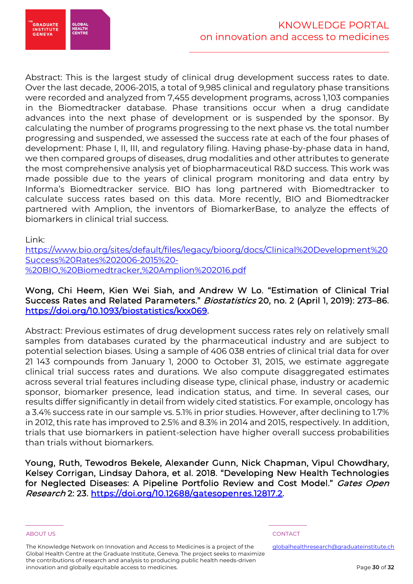

**EGRADUATE<br>INSTITUTE<br>GENEVA** GLOBA

Abstract: This is the largest study of clinical drug development success rates to date. Over the last decade, 2006-2015, a total of 9,985 clinical and regulatory phase transitions were recorded and analyzed from 7,455 development programs, across 1,103 companies in the Biomedtracker database. Phase transitions occur when a drug candidate advances into the next phase of development or is suspended by the sponsor. By calculating the number of programs progressing to the next phase vs. the total number progressing and suspended, we assessed the success rate at each of the four phases of development: Phase I, II, III, and regulatory filing. Having phase-by-phase data in hand, we then compared groups of diseases, drug modalities and other attributes to generate the most comprehensive analysis yet of biopharmaceutical R&D success. This work was made possible due to the years of clinical program monitoring and data entry by Informa's Biomedtracker service. BIO has long partnered with Biomedtracker to calculate success rates based on this data. More recently, BIO and Biomedtracker partnered with Amplion, the inventors of BiomarkerBase, to analyze the effects of biomarkers in clinical trial success.

Link:

https://www.bio.org/sites/default/files/legacy/bioorg/docs/Clinical%20Development%20 Success%20Rates%202006-2015%20- %20BIO,%20Biomedtracker,%20Amplion%202016.pdf

## Wong, Chi Heem, Kien Wei Siah, and Andrew W Lo. "Estimation of Clinical Trial Success Rates and Related Parameters." Biostatistics 20, no. 2 (April 1, 2019): 273–86. https://doi.org/10.1093/biostatistics/kxx069.

Abstract: Previous estimates of drug development success rates rely on relatively small samples from databases curated by the pharmaceutical industry and are subject to potential selection biases. Using a sample of 406 038 entries of clinical trial data for over 21 143 compounds from January 1, 2000 to October 31, 2015, we estimate aggregate clinical trial success rates and durations. We also compute disaggregated estimates across several trial features including disease type, clinical phase, industry or academic sponsor, biomarker presence, lead indication status, and time. In several cases, our results differ significantly in detail from widely cited statistics. For example, oncology has a 3.4% success rate in our sample vs. 5.1% in prior studies. However, after declining to 1.7% in 2012, this rate has improved to 2.5% and 8.3% in 2014 and 2015, respectively. In addition, trials that use biomarkers in patient-selection have higher overall success probabilities than trials without biomarkers.

Young, Ruth, Tewodros Bekele, Alexander Gunn, Nick Chapman, Vipul Chowdhary, Kelsey Corrigan, Lindsay Dahora, et al. 2018. "Developing New Health Technologies for Neglected Diseases: A Pipeline Portfolio Review and Cost Model." *Gates Open* Research 2: 23. https://doi.org/10.12688/gatesopenres.12817.2.

The Knowledge Network on Innovation and Access to Medicines is a project of the Global Health Centre at the Graduate Institute, Geneva. The project seeks to maximize the contributions of research and analysis to producing public health needs-driven innovation and globally equitable access to medicines.

\_\_\_\_\_\_\_\_\_\_\_ \_\_\_\_\_\_\_\_\_\_\_

ABOUT US AND RESERVE TO A RESERVE THE SERVE TO A RESERVE THE SERVE TO A RESERVE THAT A RESERVE TO A RESERVE TO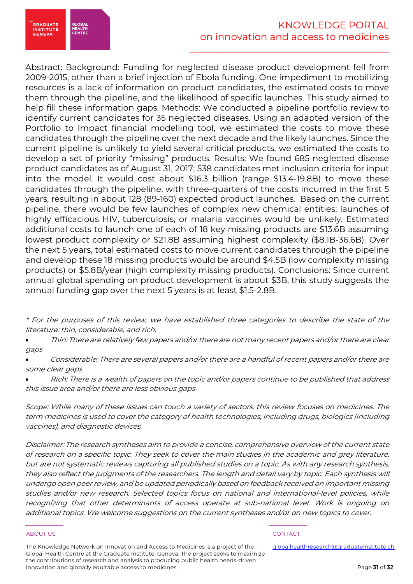

Abstract: Background: Funding for neglected disease product development fell from 2009-2015, other than a brief injection of Ebola funding. One impediment to mobilizing resources is a lack of information on product candidates, the estimated costs to move them through the pipeline, and the likelihood of specific launches. This study aimed to help fill these information gaps. Methods: We conducted a pipeline portfolio review to identify current candidates for 35 neglected diseases. Using an adapted version of the Portfolio to Impact financial modelling tool, we estimated the costs to move these candidates through the pipeline over the next decade and the likely launches. Since the current pipeline is unlikely to yield several critical products, we estimated the costs to develop a set of priority "missing" products. Results: We found 685 neglected disease product candidates as of August 31, 2017; 538 candidates met inclusion criteria for input into the model. It would cost about \$16.3 billion (range \$13.4-19.8B) to move these candidates through the pipeline, with three-quarters of the costs incurred in the first 5 years, resulting in about 128 (89-160) expected product launches. Based on the current pipeline, there would be few launches of complex new chemical entities; launches of highly efficacious HIV, tuberculosis, or malaria vaccines would be unlikely. Estimated additional costs to launch one of each of 18 key missing products are \$13.6B assuming lowest product complexity or \$21.8B assuming highest complexity (\$8.1B-36.6B). Over the next 5 years, total estimated costs to move current candidates through the pipeline and develop these 18 missing products would be around \$4.5B (low complexity missing products) or \$5.8B/year (high complexity missing products). Conclusions: Since current annual global spending on product development is about \$3B, this study suggests the annual funding gap over the next 5 years is at least \$1.5-2.8B.

\* For the purposes of this review, we have established three categories to describe the state of the literature: thin, considerable, and rich.

• Thin: There are relatively few papers and/or there are not many recent papers and/or there are clear gaps

• Considerable: There are several papers and/or there are a handful of recent papers and/or there are some clear gaps

• Rich: There is a wealth of papers on the topic and/or papers continue to be published that address this issue area and/or there are less obvious gaps

Scope: While many of these issues can touch a variety of sectors, this review focuses on medicines. The term medicines is used to cover the category of health technologies, including drugs, biologics (including vaccines), and diagnostic devices.

Disclaimer: The research syntheses aim to provide a concise, comprehensive overview of the current state of research on a specific topic. They seek to cover the main studies in the academic and grey literature, but are not systematic reviews capturing all published studies on a topic. As with any research synthesis, they also reflect the judgments of the researchers. The length and detail vary by topic. Each synthesis will undergo open peer review, and be updated periodically based on feedback received on important missing studies and/or new research. Selected topics focus on national and international-level policies, while recognizing that other determinants of access operate at sub-national level. Work is ongoing on additional topics. We welcome suggestions on the current syntheses and/or on new topics to cover.

### ABOUT US AND RESERVE TO A RESERVE THE SERVE TO A RESERVE THE SERVE TO A RESERVE THAT A RESERVE TO A RESERVE TO

The Knowledge Network on Innovation and Access to Medicines is a project of the Global Health Centre at the Graduate Institute, Geneva. The project seeks to maximize the contributions of research and analysis to producing public health needs-driven innovation and globally equitable access to medicines.

\_\_\_\_\_\_\_\_\_\_\_ \_\_\_\_\_\_\_\_\_\_\_